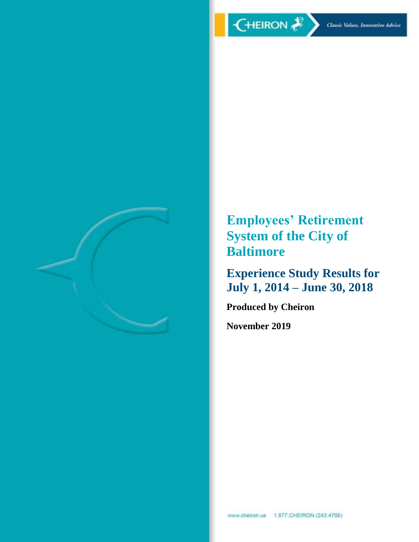

**Employees' Retirement System of the City of Baltimore**

**Experience Study Results for July 1, 2014 – June 30, 2018**

**Produced by Cheiron**

**November 2019**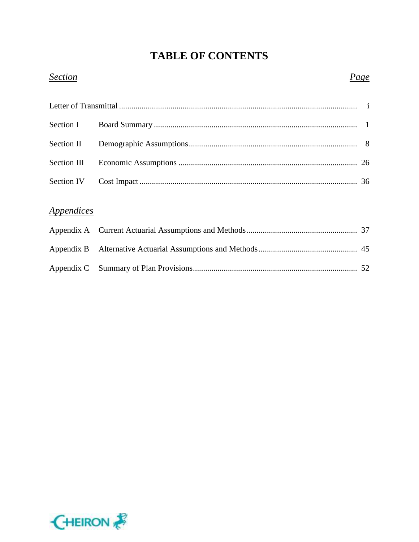# **TABLE OF CONTENTS**

### *Section Page*

# *Appendices*

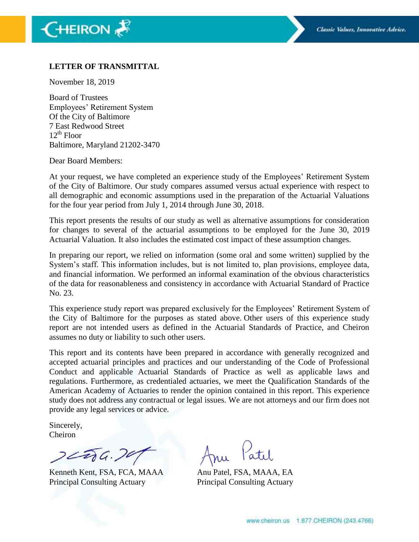#### **LETTER OF TRANSMITTAL**

November 18, 2019

Board of Trustees Employees' Retirement System Of the City of Baltimore 7 East Redwood Street  $12^{th}$  Floor Baltimore, Maryland 21202-3470

Dear Board Members:

At your request, we have completed an experience study of the Employees' Retirement System of the City of Baltimore. Our study compares assumed versus actual experience with respect to all demographic and economic assumptions used in the preparation of the Actuarial Valuations for the four year period from July 1, 2014 through June 30, 2018.

This report presents the results of our study as well as alternative assumptions for consideration for changes to several of the actuarial assumptions to be employed for the June 30, 2019 Actuarial Valuation. It also includes the estimated cost impact of these assumption changes.

In preparing our report, we relied on information (some oral and some written) supplied by the System's staff. This information includes, but is not limited to, plan provisions, employee data, and financial information. We performed an informal examination of the obvious characteristics of the data for reasonableness and consistency in accordance with Actuarial Standard of Practice No. 23.

This experience study report was prepared exclusively for the Employees' Retirement System of the City of Baltimore for the purposes as stated above. Other users of this experience study report are not intended users as defined in the Actuarial Standards of Practice, and Cheiron assumes no duty or liability to such other users.

This report and its contents have been prepared in accordance with generally recognized and accepted actuarial principles and practices and our understanding of the Code of Professional Conduct and applicable Actuarial Standards of Practice as well as applicable laws and regulations. Furthermore, as credentialed actuaries, we meet the Qualification Standards of the American Academy of Actuaries to render the opinion contained in this report. This experience study does not address any contractual or legal issues. We are not attorneys and our firm does not provide any legal services or advice.

Sincerely, Cheiron

 $22206.79$ 

Kenneth Kent, FSA, FCA, MAAA Anu Patel, FSA, MAAA, EA Principal Consulting Actuary Principal Consulting Actuary

Patil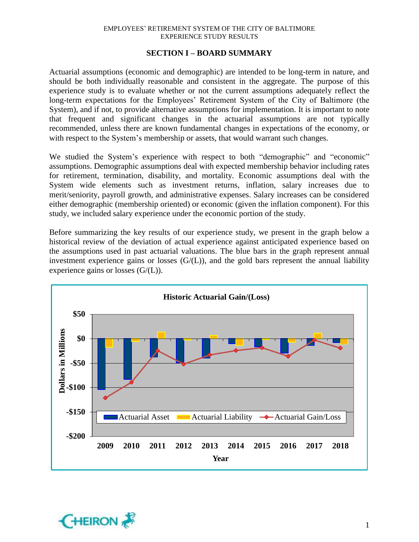#### **SECTION I – BOARD SUMMARY**

Actuarial assumptions (economic and demographic) are intended to be long-term in nature, and should be both individually reasonable and consistent in the aggregate. The purpose of this experience study is to evaluate whether or not the current assumptions adequately reflect the long-term expectations for the Employees' Retirement System of the City of Baltimore (the System), and if not, to provide alternative assumptions for implementation. It is important to note that frequent and significant changes in the actuarial assumptions are not typically recommended, unless there are known fundamental changes in expectations of the economy, or with respect to the System's membership or assets, that would warrant such changes.

We studied the System's experience with respect to both "demographic" and "economic" assumptions. Demographic assumptions deal with expected membership behavior including rates for retirement, termination, disability, and mortality. Economic assumptions deal with the System wide elements such as investment returns, inflation, salary increases due to merit/seniority, payroll growth, and administrative expenses. Salary increases can be considered either demographic (membership oriented) or economic (given the inflation component). For this study, we included salary experience under the economic portion of the study.

Before summarizing the key results of our experience study, we present in the graph below a historical review of the deviation of actual experience against anticipated experience based on the assumptions used in past actuarial valuations. The blue bars in the graph represent annual investment experience gains or losses  $(G/(L))$ , and the gold bars represent the annual liability experience gains or losses  $(G/(L))$ .



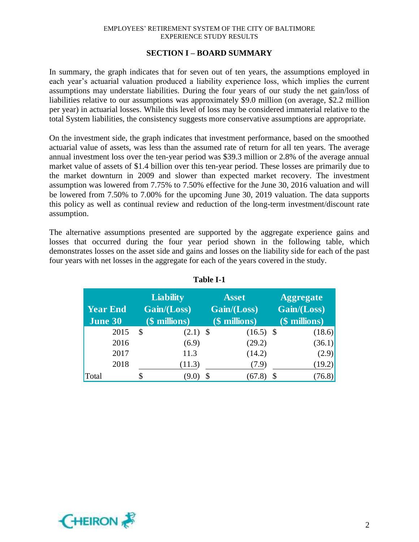#### **SECTION I – BOARD SUMMARY**

In summary, the graph indicates that for seven out of ten years, the assumptions employed in each year's actuarial valuation produced a liability experience loss, which implies the current assumptions may understate liabilities. During the four years of our study the net gain/loss of liabilities relative to our assumptions was approximately \$9.0 million (on average, \$2.2 million per year) in actuarial losses. While this level of loss may be considered immaterial relative to the total System liabilities, the consistency suggests more conservative assumptions are appropriate.

On the investment side, the graph indicates that investment performance, based on the smoothed actuarial value of assets, was less than the assumed rate of return for all ten years. The average annual investment loss over the ten-year period was \$39.3 million or 2.8% of the average annual market value of assets of \$1.4 billion over this ten-year period. These losses are primarily due to the market downturn in 2009 and slower than expected market recovery. The investment assumption was lowered from 7.75% to 7.50% effective for the June 30, 2016 valuation and will be lowered from 7.50% to 7.00% for the upcoming June 30, 2019 valuation. The data supports this policy as well as continual review and reduction of the long-term investment/discount rate assumption.

The alternative assumptions presented are supported by the aggregate experience gains and losses that occurred during the four year period shown in the following table, which demonstrates losses on the asset side and gains and losses on the liability side for each of the past four years with net losses in the aggregate for each of the years covered in the study.

| <b>Year End</b><br><b>June 30</b> | <b>Liability</b><br>Gain/(Loss)<br>$($$ millions $)$ |            | <b>Asset</b><br>Gain/(Loss)<br>(\$ millions) | <b>Aggregate</b><br>Gain/(Loss)<br>(\$ millions) |        |
|-----------------------------------|------------------------------------------------------|------------|----------------------------------------------|--------------------------------------------------|--------|
| 2015                              | \$                                                   | $(2.1)$ \$ | $(16.5)$ \$                                  | (18.6)                                           |        |
| 2016                              |                                                      | (6.9)      | (29.2)                                       | (36.1)                                           |        |
| 2017                              |                                                      | 11.3       | (14.2)                                       |                                                  | (2.9)  |
| 2018                              |                                                      | (11.3)     | (7.9)                                        | (19.2)                                           |        |
| Total                             |                                                      | 9.J        | (67.8                                        |                                                  | (76.8) |

| e |     |
|---|-----|
|   |     |
|   | anı |

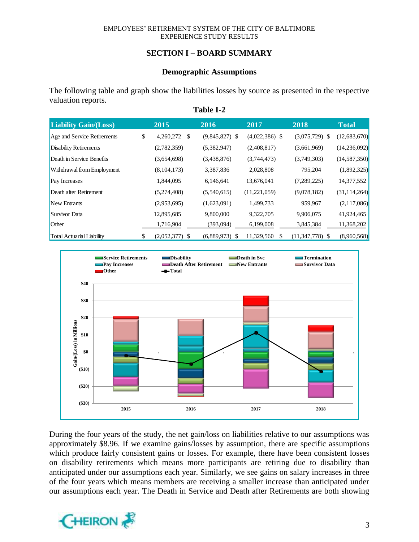### **SECTION I – BOARD SUMMARY**

#### **Demographic Assumptions**

The following table and graph show the liabilities losses by source as presented in the respective valuation reports. **Table I-2**

| <b>Liability Gain/(Loss)</b>     | 2015                   | 2016             | 2017             | 2018              | <b>Total</b>   |
|----------------------------------|------------------------|------------------|------------------|-------------------|----------------|
| Age and Service Retirements      | \$<br>4,260,272<br>S   | $(9,845,827)$ \$ | $(4,022,386)$ \$ | $(3,075,729)$ \$  | (12,683,670)   |
| Disability Retirements           | (2,782,359)            | (5,382,947)      | (2,408,817)      | (3,661,969)       | (14,236,092)   |
| Death in Service Benefits        | (3,654,698)            | (3,438,876)      | (3,744,473)      | (3,749,303)       | (14, 587, 350) |
| Withdrawal from Employment       | (8,104,173)            | 3,387,836        | 2,028,808        | 795,204           | (1,892,325)    |
| <b>Pay Increases</b>             | 1,844,095              | 6,146,641        | 13,676,041       | (7,289,225)       | 14,377,552     |
| Death after Retirement           | (5,274,408)            | (5,540,615)      | (11,221,059)     | (9,078,182)       | (31, 114, 264) |
| New Entrants                     | (2,953,695)            | (1,623,091)      | 1,499,733        | 959,967           | (2,117,086)    |
| Survivor Data                    | 12,895,685             | 9,800,000        | 9,322,705        | 9,906,075         | 41,924,465     |
| Other                            | 1,716,904              | (393,094)        | 6,199,008        | 3,845,384         | 11,368,202     |
| <b>Total Actuarial Liability</b> | \$<br>$(2,052,377)$ \$ | $(6,889,973)$ \$ | 11,329,560<br>S  | $(11,347,778)$ \$ | (8,960,568)    |



During the four years of the study, the net gain/loss on liabilities relative to our assumptions was approximately \$8.96. If we examine gains/losses by assumption, there are specific assumptions which produce fairly consistent gains or losses. For example, there have been consistent losses on disability retirements which means more participants are retiring due to disability than anticipated under our assumptions each year. Similarly, we see gains on salary increases in three of the four years which means members are receiving a smaller increase than anticipated under our assumptions each year. The Death in Service and Death after Retirements are both showing

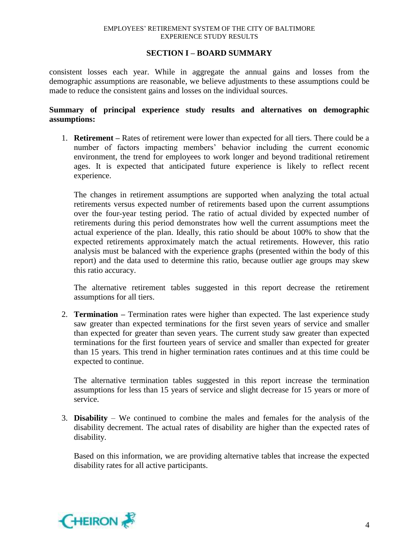#### **SECTION I – BOARD SUMMARY**

consistent losses each year. While in aggregate the annual gains and losses from the demographic assumptions are reasonable, we believe adjustments to these assumptions could be made to reduce the consistent gains and losses on the individual sources.

#### **Summary of principal experience study results and alternatives on demographic assumptions:**

1. **Retirement –** Rates of retirement were lower than expected for all tiers. There could be a number of factors impacting members' behavior including the current economic environment, the trend for employees to work longer and beyond traditional retirement ages. It is expected that anticipated future experience is likely to reflect recent experience.

The changes in retirement assumptions are supported when analyzing the total actual retirements versus expected number of retirements based upon the current assumptions over the four-year testing period. The ratio of actual divided by expected number of retirements during this period demonstrates how well the current assumptions meet the actual experience of the plan. Ideally, this ratio should be about 100% to show that the expected retirements approximately match the actual retirements. However, this ratio analysis must be balanced with the experience graphs (presented within the body of this report) and the data used to determine this ratio, because outlier age groups may skew this ratio accuracy.

The alternative retirement tables suggested in this report decrease the retirement assumptions for all tiers.

2. **Termination –** Termination rates were higher than expected. The last experience study saw greater than expected terminations for the first seven years of service and smaller than expected for greater than seven years. The current study saw greater than expected terminations for the first fourteen years of service and smaller than expected for greater than 15 years. This trend in higher termination rates continues and at this time could be expected to continue.

The alternative termination tables suggested in this report increase the termination assumptions for less than 15 years of service and slight decrease for 15 years or more of service.

3. **Disability** – We continued to combine the males and females for the analysis of the disability decrement. The actual rates of disability are higher than the expected rates of disability.

Based on this information, we are providing alternative tables that increase the expected disability rates for all active participants.

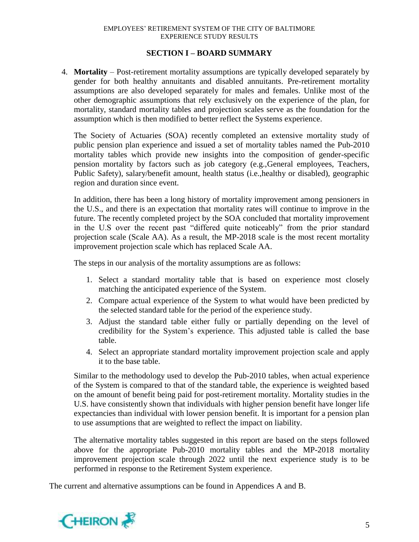#### **SECTION I – BOARD SUMMARY**

4. **Mortality** – Post-retirement mortality assumptions are typically developed separately by gender for both healthy annuitants and disabled annuitants. Pre-retirement mortality assumptions are also developed separately for males and females. Unlike most of the other demographic assumptions that rely exclusively on the experience of the plan, for mortality, standard mortality tables and projection scales serve as the foundation for the assumption which is then modified to better reflect the Systems experience.

The Society of Actuaries (SOA) recently completed an extensive mortality study of public pension plan experience and issued a set of mortality tables named the Pub-2010 mortality tables which provide new insights into the composition of gender-specific pension mortality by factors such as job category (e.g.,General employees, Teachers, Public Safety), salary/benefit amount, health status (i.e.,healthy or disabled), geographic region and duration since event.

In addition, there has been a long history of mortality improvement among pensioners in the U.S., and there is an expectation that mortality rates will continue to improve in the future. The recently completed project by the SOA concluded that mortality improvement in the U.S over the recent past "differed quite noticeably" from the prior standard projection scale (Scale AA). As a result, the MP-2018 scale is the most recent mortality improvement projection scale which has replaced Scale AA.

The steps in our analysis of the mortality assumptions are as follows:

- 1. Select a standard mortality table that is based on experience most closely matching the anticipated experience of the System.
- 2. Compare actual experience of the System to what would have been predicted by the selected standard table for the period of the experience study.
- 3. Adjust the standard table either fully or partially depending on the level of credibility for the System's experience. This adjusted table is called the base table.
- 4. Select an appropriate standard mortality improvement projection scale and apply it to the base table.

Similar to the methodology used to develop the Pub-2010 tables, when actual experience of the System is compared to that of the standard table, the experience is weighted based on the amount of benefit being paid for post-retirement mortality. Mortality studies in the U.S. have consistently shown that individuals with higher pension benefit have longer life expectancies than individual with lower pension benefit. It is important for a pension plan to use assumptions that are weighted to reflect the impact on liability.

The alternative mortality tables suggested in this report are based on the steps followed above for the appropriate Pub-2010 mortality tables and the MP-2018 mortality improvement projection scale through 2022 until the next experience study is to be performed in response to the Retirement System experience.

The current and alternative assumptions can be found in Appendices A and B.

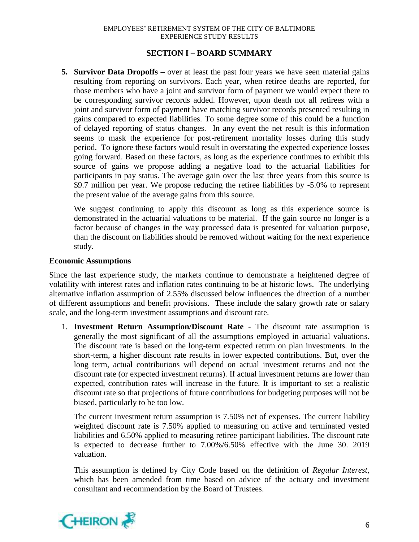#### **SECTION I – BOARD SUMMARY**

**5. Survivor Data Dropoffs –** over at least the past four years we have seen material gains resulting from reporting on survivors. Each year, when retiree deaths are reported, for those members who have a joint and survivor form of payment we would expect there to be corresponding survivor records added. However, upon death not all retirees with a joint and survivor form of payment have matching survivor records presented resulting in gains compared to expected liabilities. To some degree some of this could be a function of delayed reporting of status changes. In any event the net result is this information seems to mask the experience for post-retirement mortality losses during this study period. To ignore these factors would result in overstating the expected experience losses going forward. Based on these factors, as long as the experience continues to exhibit this source of gains we propose adding a negative load to the actuarial liabilities for participants in pay status. The average gain over the last three years from this source is \$9.7 million per year. We propose reducing the retiree liabilities by -5.0% to represent the present value of the average gains from this source.

We suggest continuing to apply this discount as long as this experience source is demonstrated in the actuarial valuations to be material. If the gain source no longer is a factor because of changes in the way processed data is presented for valuation purpose, than the discount on liabilities should be removed without waiting for the next experience study.

#### **Economic Assumptions**

Since the last experience study, the markets continue to demonstrate a heightened degree of volatility with interest rates and inflation rates continuing to be at historic lows. The underlying alternative inflation assumption of 2.55% discussed below influences the direction of a number of different assumptions and benefit provisions. These include the salary growth rate or salary scale, and the long-term investment assumptions and discount rate.

1. **Investment Return Assumption/Discount Rate** - The discount rate assumption is generally the most significant of all the assumptions employed in actuarial valuations. The discount rate is based on the long-term expected return on plan investments. In the short-term, a higher discount rate results in lower expected contributions. But, over the long term, actual contributions will depend on actual investment returns and not the discount rate (or expected investment returns). If actual investment returns are lower than expected, contribution rates will increase in the future. It is important to set a realistic discount rate so that projections of future contributions for budgeting purposes will not be biased, particularly to be too low.

The current investment return assumption is 7.50% net of expenses. The current liability weighted discount rate is 7.50% applied to measuring on active and terminated vested liabilities and 6.50% applied to measuring retiree participant liabilities. The discount rate is expected to decrease further to 7.00%/6.50% effective with the June 30. 2019 valuation.

This assumption is defined by City Code based on the definition of *Regular Interest*, which has been amended from time based on advice of the actuary and investment consultant and recommendation by the Board of Trustees.

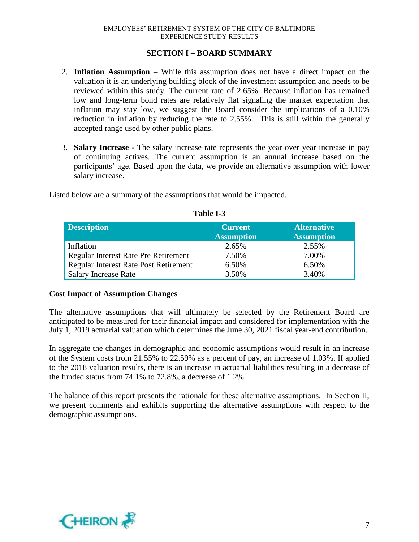#### **SECTION I – BOARD SUMMARY**

- 2. **Inflation Assumption**  While this assumption does not have a direct impact on the valuation it is an underlying building block of the investment assumption and needs to be reviewed within this study. The current rate of 2.65%. Because inflation has remained low and long-term bond rates are relatively flat signaling the market expectation that inflation may stay low, we suggest the Board consider the implications of a 0.10% reduction in inflation by reducing the rate to 2.55%. This is still within the generally accepted range used by other public plans.
- 3. **Salary Increase** The salary increase rate represents the year over year increase in pay of continuing actives. The current assumption is an annual increase based on the participants' age. Based upon the data, we provide an alternative assumption with lower salary increase.

**Description Current Assumption Alternative Assumption** Inflation 2.65% 2.55% Regular Interest Rate Pre Retirement 7.50% 7.00% Regular Interest Rate Post Retirement 6.50% 6.50% Salary Increase Rate 3.50% 3.40%

Listed below are a summary of the assumptions that would be impacted.

**Table I-3**

### **Cost Impact of Assumption Changes**

The alternative assumptions that will ultimately be selected by the Retirement Board are anticipated to be measured for their financial impact and considered for implementation with the July 1, 2019 actuarial valuation which determines the June 30, 2021 fiscal year-end contribution.

In aggregate the changes in demographic and economic assumptions would result in an increase of the System costs from 21.55% to 22.59% as a percent of pay, an increase of 1.03%. If applied to the 2018 valuation results, there is an increase in actuarial liabilities resulting in a decrease of the funded status from 74.1% to 72.8%, a decrease of 1.2%.

The balance of this report presents the rationale for these alternative assumptions. In Section II, we present comments and exhibits supporting the alternative assumptions with respect to the demographic assumptions.

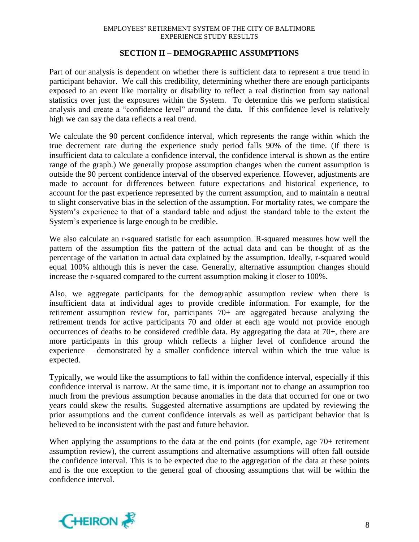#### **SECTION II – DEMOGRAPHIC ASSUMPTIONS**

Part of our analysis is dependent on whether there is sufficient data to represent a true trend in participant behavior. We call this credibility, determining whether there are enough participants exposed to an event like mortality or disability to reflect a real distinction from say national statistics over just the exposures within the System. To determine this we perform statistical analysis and create a "confidence level" around the data. If this confidence level is relatively high we can say the data reflects a real trend.

We calculate the 90 percent confidence interval, which represents the range within which the true decrement rate during the experience study period falls 90% of the time. (If there is insufficient data to calculate a confidence interval, the confidence interval is shown as the entire range of the graph.) We generally propose assumption changes when the current assumption is outside the 90 percent confidence interval of the observed experience. However, adjustments are made to account for differences between future expectations and historical experience, to account for the past experience represented by the current assumption, and to maintain a neutral to slight conservative bias in the selection of the assumption. For mortality rates, we compare the System's experience to that of a standard table and adjust the standard table to the extent the System's experience is large enough to be credible.

We also calculate an r-squared statistic for each assumption. R-squared measures how well the pattern of the assumption fits the pattern of the actual data and can be thought of as the percentage of the variation in actual data explained by the assumption. Ideally, r-squared would equal 100% although this is never the case. Generally, alternative assumption changes should increase the r-squared compared to the current assumption making it closer to 100%.

Also, we aggregate participants for the demographic assumption review when there is insufficient data at individual ages to provide credible information. For example, for the retirement assumption review for, participants 70+ are aggregated because analyzing the retirement trends for active participants 70 and older at each age would not provide enough occurrences of deaths to be considered credible data. By aggregating the data at 70+, there are more participants in this group which reflects a higher level of confidence around the experience – demonstrated by a smaller confidence interval within which the true value is expected.

Typically, we would like the assumptions to fall within the confidence interval, especially if this confidence interval is narrow. At the same time, it is important not to change an assumption too much from the previous assumption because anomalies in the data that occurred for one or two years could skew the results. Suggested alternative assumptions are updated by reviewing the prior assumptions and the current confidence intervals as well as participant behavior that is believed to be inconsistent with the past and future behavior.

When applying the assumptions to the data at the end points (for example, age 70+ retirement assumption review), the current assumptions and alternative assumptions will often fall outside the confidence interval. This is to be expected due to the aggregation of the data at these points and is the one exception to the general goal of choosing assumptions that will be within the confidence interval.

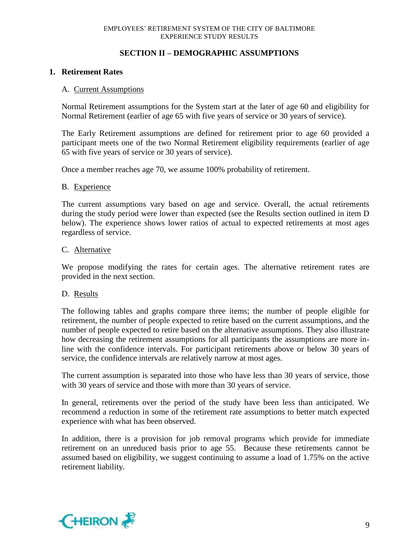### **SECTION II – DEMOGRAPHIC ASSUMPTIONS**

#### **1. Retirement Rates**

#### A. Current Assumptions

Normal Retirement assumptions for the System start at the later of age 60 and eligibility for Normal Retirement (earlier of age 65 with five years of service or 30 years of service).

The Early Retirement assumptions are defined for retirement prior to age 60 provided a participant meets one of the two Normal Retirement eligibility requirements (earlier of age 65 with five years of service or 30 years of service).

Once a member reaches age 70, we assume 100% probability of retirement.

#### B. Experience

The current assumptions vary based on age and service. Overall, the actual retirements during the study period were lower than expected (see the Results section outlined in item D below). The experience shows lower ratios of actual to expected retirements at most ages regardless of service.

#### C. Alternative

We propose modifying the rates for certain ages. The alternative retirement rates are provided in the next section.

#### D. Results

The following tables and graphs compare three items; the number of people eligible for retirement, the number of people expected to retire based on the current assumptions, and the number of people expected to retire based on the alternative assumptions. They also illustrate how decreasing the retirement assumptions for all participants the assumptions are more inline with the confidence intervals. For participant retirements above or below 30 years of service, the confidence intervals are relatively narrow at most ages.

The current assumption is separated into those who have less than 30 years of service, those with 30 years of service and those with more than 30 years of service.

In general, retirements over the period of the study have been less than anticipated. We recommend a reduction in some of the retirement rate assumptions to better match expected experience with what has been observed.

In addition, there is a provision for job removal programs which provide for immediate retirement on an unreduced basis prior to age 55. Because these retirements cannot be assumed based on eligibility, we suggest continuing to assume a load of 1.75% on the active retirement liability.

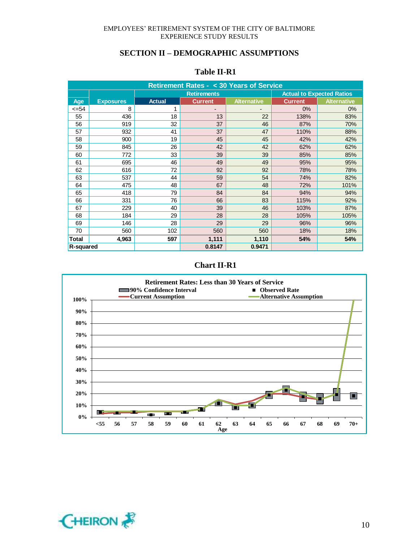| <b>Retirement Rates - &lt; 30 Years of Service</b> |                                                        |               |                |                    |                |                    |  |
|----------------------------------------------------|--------------------------------------------------------|---------------|----------------|--------------------|----------------|--------------------|--|
|                                                    | <b>Actual to Expected Ratios</b><br><b>Retirements</b> |               |                |                    |                |                    |  |
| Age                                                | <b>Exposures</b>                                       | <b>Actual</b> | <b>Current</b> | <b>Alternative</b> | <b>Current</b> | <b>Alternative</b> |  |
| <=54                                               | 8                                                      | 1             |                |                    | 0%             | 0%                 |  |
| 55                                                 | 436                                                    | 18            | 13             | 22                 | 138%           | 83%                |  |
| 56                                                 | 919                                                    | 32            | 37             | 46                 | 87%            | 70%                |  |
| 57                                                 | 932                                                    | 41            | 37             | 47                 | 110%           | 88%                |  |
| 58                                                 | 900                                                    | 19            | 45             | 45                 | 42%            | 42%                |  |
| 59                                                 | 845                                                    | 26            | 42             | 42                 | 62%            | 62%                |  |
| 60                                                 | 772                                                    | 33            | 39             | 39                 | 85%            | 85%                |  |
| 61                                                 | 695                                                    | 46            | 49             | 49                 | 95%            | 95%                |  |
| 62                                                 | 616                                                    | 72            | 92             | 92                 | 78%            | 78%                |  |
| 63                                                 | 537                                                    | 44            | 59             | 54                 | 74%            | 82%                |  |
| 64                                                 | 475                                                    | 48            | 67             | 48                 | 72%            | 101%               |  |
| 65                                                 | 418                                                    | 79            | 84             | 84                 | 94%            | 94%                |  |
| 66                                                 | 331                                                    | 76            | 66             | 83                 | 115%           | 92%                |  |
| 67                                                 | 229                                                    | 40            | 39             | 46                 | 103%           | 87%                |  |
| 68                                                 | 184                                                    | 29            | 28             | 28                 | 105%           | 105%               |  |
| 69                                                 | 146                                                    | 28            | 29             | 29                 | 96%            | 96%                |  |
| 70                                                 | 560                                                    | 102           | 560            | 560                | 18%            | 18%                |  |
| Total                                              | 4,963                                                  | 597           | 1,111          | 1,110              | 54%            | 54%                |  |
| R-squared                                          |                                                        |               | 0.8147         | 0.9471             |                |                    |  |

#### **Table II-R1**

### **Chart II-R1**



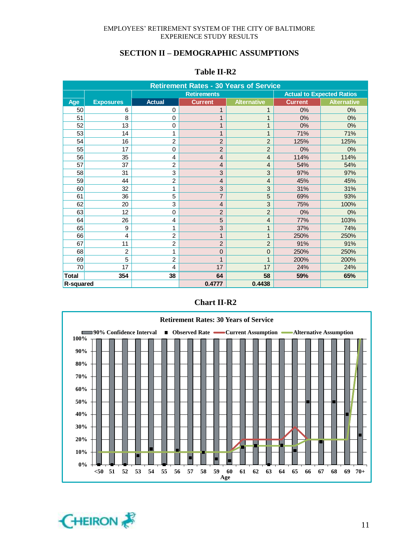| <b>Table II-R2</b> |  |
|--------------------|--|
|                    |  |

| <b>Retirement Rates - 30 Years of Service</b> |                  |                |                    |                    |                                  |                    |  |
|-----------------------------------------------|------------------|----------------|--------------------|--------------------|----------------------------------|--------------------|--|
|                                               |                  |                | <b>Retirements</b> |                    | <b>Actual to Expected Ratios</b> |                    |  |
| Age                                           | <b>Exposures</b> | <b>Actual</b>  | <b>Current</b>     | <b>Alternative</b> | <b>Current</b>                   | <b>Alternative</b> |  |
| 50                                            | 6                | $\Omega$       | 1                  | 1                  | 0%                               | 0%                 |  |
| 51                                            | 8                | 0              |                    | 1                  | 0%                               | 0%                 |  |
| 52                                            | 13               | 0              |                    | $\mathbf{1}$       | 0%                               | 0%                 |  |
| 53                                            | 14               | 1              | $\mathbf{1}$       | $\mathbf{1}$       | 71%                              | 71%                |  |
| 54                                            | 16               | $\overline{2}$ | $\overline{2}$     | $\overline{2}$     | 125%                             | 125%               |  |
| 55                                            | 17               | $\mathbf 0$    | $\overline{2}$     | $\overline{2}$     | 0%                               | 0%                 |  |
| 56                                            | 35               | 4              | $\overline{4}$     | $\overline{4}$     | 114%                             | 114%               |  |
| 57                                            | 37               | $\overline{2}$ | $\overline{4}$     | $\overline{4}$     | 54%                              | 54%                |  |
| 58                                            | 31               | 3              | 3                  | 3                  | 97%                              | 97%                |  |
| 59                                            | 44               | $\overline{2}$ | $\overline{4}$     | $\overline{4}$     | 45%                              | 45%                |  |
| 60                                            | 32               | 1              | 3                  | 3                  | 31%                              | 31%                |  |
| 61                                            | 36               | 5              | $\overline{7}$     | 5                  | 69%                              | 93%                |  |
| 62                                            | 20               | 3              | $\overline{4}$     | 3                  | 75%                              | 100%               |  |
| 63                                            | 12               | $\Omega$       | $\overline{2}$     | $\overline{2}$     | 0%                               | 0%                 |  |
| 64                                            | 26               | $\overline{4}$ | 5                  | $\overline{4}$     | 77%                              | 103%               |  |
| 65                                            | 9                | 1              | 3                  | $\mathbf{1}$       | 37%                              | 74%                |  |
| 66                                            | $\overline{4}$   | $\overline{2}$ | 1                  | $\mathbf{1}$       | 250%                             | 250%               |  |
| 67                                            | 11               | $\overline{2}$ | $\overline{2}$     | $\overline{2}$     | 91%                              | 91%                |  |
| 68                                            | $\overline{2}$   | 1              | $\mathbf{0}$       | $\overline{0}$     | 250%                             | 250%               |  |
| 69                                            | 5                | $\overline{2}$ | $\mathbf{1}$       | $\mathbf{1}$       | 200%                             | 200%               |  |
| 70                                            | 17               | $\overline{4}$ | 17                 | 17                 | 24%                              | 24%                |  |
| <b>Total</b>                                  | 354              | 38             | 64                 | 58                 | 59%                              | 65%                |  |
| R-squared                                     |                  |                | 0.4777             | 0.4438             |                                  |                    |  |





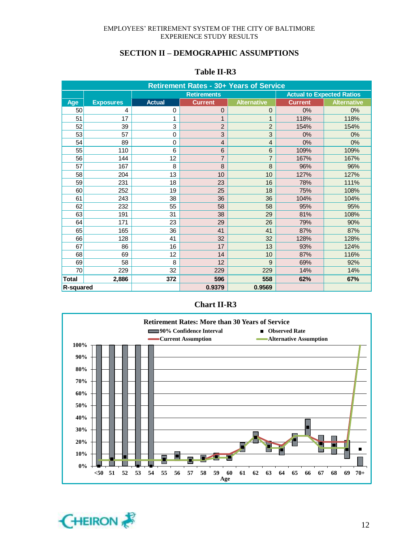| <b>Table II-R3</b> |
|--------------------|
|--------------------|

| <b>Retirement Rates - 30+ Years of Service</b> |                  |               |                |                                  |                |                    |  |
|------------------------------------------------|------------------|---------------|----------------|----------------------------------|----------------|--------------------|--|
|                                                |                  |               |                | <b>Actual to Expected Ratios</b> |                |                    |  |
| Age                                            | <b>Exposures</b> | <b>Actual</b> | <b>Current</b> | <b>Alternative</b>               | <b>Current</b> | <b>Alternative</b> |  |
| 50                                             | 4                | 0             | $\Omega$       | $\mathbf 0$                      | 0%             | 0%                 |  |
| 51                                             | 17               | 1             | 1              | 1                                | 118%           | 118%               |  |
| 52                                             | 39               | 3             | $\overline{2}$ | $\overline{c}$                   | 154%           | 154%               |  |
| 53                                             | 57               | $\mathbf 0$   | 3              | 3                                | 0%             | 0%                 |  |
| 54                                             | 89               | $\mathbf 0$   | $\overline{4}$ | $\overline{4}$                   | 0%             | 0%                 |  |
| 55                                             | 110              | 6             | $6\phantom{1}$ | $6\phantom{1}6$                  | 109%           | 109%               |  |
| 56                                             | 144              | 12            | $\overline{7}$ | $\overline{7}$                   | 167%           | 167%               |  |
| 57                                             | 167              | 8             | 8              | 8                                | 96%            | 96%                |  |
| 58                                             | 204              | 13            | 10             | 10                               | 127%           | 127%               |  |
| 59                                             | 231              | 18            | 23             | 16                               | 78%            | 111%               |  |
| 60                                             | 252              | 19            | 25             | 18                               | 75%            | 108%               |  |
| 61                                             | 243              | 38            | 36             | 36                               | 104%           | 104%               |  |
| 62                                             | 232              | 55            | 58             | 58                               | 95%            | 95%                |  |
| 63                                             | 191              | 31            | 38             | 29                               | 81%            | 108%               |  |
| 64                                             | 171              | 23            | 29             | 26                               | 79%            | 90%                |  |
| 65                                             | 165              | 36            | 41             | 41                               | 87%            | 87%                |  |
| 66                                             | 128              | 41            | 32             | 32                               | 128%           | 128%               |  |
| 67                                             | 86               | 16            | 17             | 13                               | 93%            | 124%               |  |
| 68                                             | 69               | 12            | 14             | 10                               | 87%            | 116%               |  |
| 69                                             | 58               | 8             | 12             | 9                                | 69%            | 92%                |  |
| 70                                             | 229              | 32            | 229            | 229                              | 14%            | 14%                |  |
| <b>Total</b>                                   | 2,886            | 372           | 596            | 558                              | 62%            | 67%                |  |
| R-squared                                      |                  |               | 0.9379         | 0.9569                           |                |                    |  |

#### **Chart II-R3**



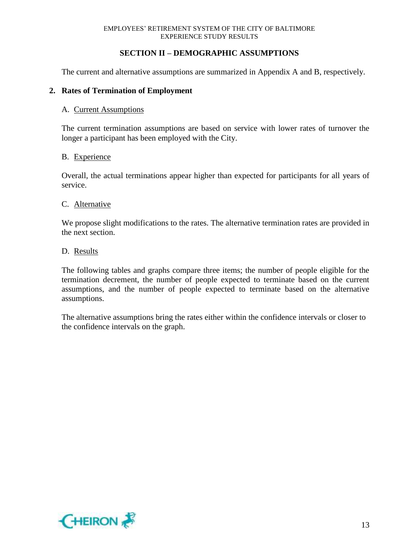#### **SECTION II – DEMOGRAPHIC ASSUMPTIONS**

The current and alternative assumptions are summarized in Appendix A and B, respectively.

#### **2. Rates of Termination of Employment**

#### A. Current Assumptions

The current termination assumptions are based on service with lower rates of turnover the longer a participant has been employed with the City.

#### B. Experience

Overall, the actual terminations appear higher than expected for participants for all years of service.

#### C. Alternative

We propose slight modifications to the rates. The alternative termination rates are provided in the next section.

#### D. Results

The following tables and graphs compare three items; the number of people eligible for the termination decrement, the number of people expected to terminate based on the current assumptions, and the number of people expected to terminate based on the alternative assumptions.

The alternative assumptions bring the rates either within the confidence intervals or closer to the confidence intervals on the graph.

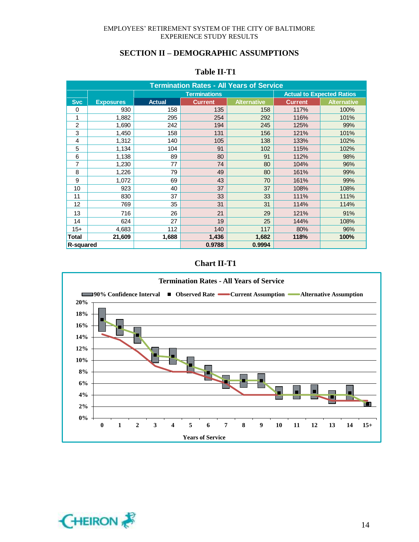| <b>Termination Rates - All Years of Service</b> |                  |               |                     |                    |                |                                  |  |
|-------------------------------------------------|------------------|---------------|---------------------|--------------------|----------------|----------------------------------|--|
|                                                 |                  |               | <b>Terminations</b> |                    |                | <b>Actual to Expected Ratios</b> |  |
| <b>Svc</b>                                      | <b>Exposures</b> | <b>Actual</b> | <b>Current</b>      | <b>Alternative</b> | <b>Current</b> | <b>Alternative</b>               |  |
| 0                                               | 930              | 158           | 135                 | 158                | 117%           | 100%                             |  |
| 1                                               | 1,882            | 295           | 254                 | 292                | 116%           | 101%                             |  |
| 2                                               | 1,690            | 242           | 194                 | 245                | 125%           | 99%                              |  |
| 3                                               | 1,450            | 158           | 131                 | 156                | 121%           | 101%                             |  |
| 4                                               | 1,312            | 140           | 105                 | 138                | 133%           | 102%                             |  |
| 5                                               | 1,134            | 104           | 91                  | 102                | 115%           | 102%                             |  |
| 6                                               | 1,138            | 89            | 80                  | 91                 | 112%           | 98%                              |  |
| 7                                               | 1,230            | 77            | 74                  | 80                 | 104%           | 96%                              |  |
| 8                                               | 1,226            | 79            | 49                  | 80                 | 161%           | 99%                              |  |
| 9                                               | 1,072            | 69            | 43                  | 70                 | 161%           | 99%                              |  |
| 10                                              | 923              | 40            | 37                  | 37                 | 108%           | 108%                             |  |
| 11                                              | 830              | 37            | 33                  | 33                 | 111%           | 111%                             |  |
| 12                                              | 769              | 35            | 31                  | 31                 | 114%           | 114%                             |  |
| 13                                              | 716              | 26            | 21                  | 29                 | 121%           | 91%                              |  |
| 14                                              | 624              | 27            | 19                  | 25                 | 144%           | 108%                             |  |
| $15+$                                           | 4,683            | 112           | 140                 | 117                | 80%            | 96%                              |  |
| Total                                           | 21,609           | 1,688         | 1,436               | 1,682              | 118%           | 100%                             |  |
| R-squared                                       |                  |               | 0.9788              | 0.9994             |                |                                  |  |

#### **Table II-T1**

#### **Chart II-T1**



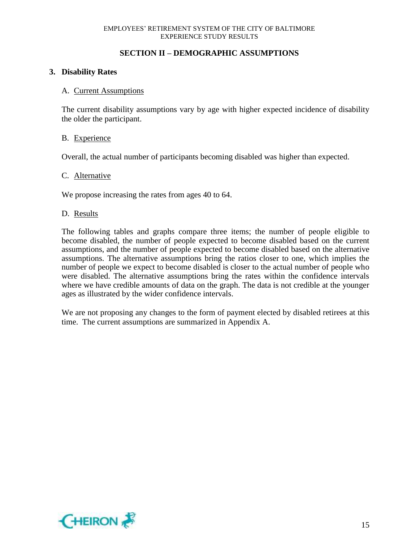#### **SECTION II – DEMOGRAPHIC ASSUMPTIONS**

#### **3. Disability Rates**

#### A. Current Assumptions

The current disability assumptions vary by age with higher expected incidence of disability the older the participant.

#### B. Experience

Overall, the actual number of participants becoming disabled was higher than expected.

#### C. Alternative

We propose increasing the rates from ages 40 to 64.

#### D. Results

The following tables and graphs compare three items; the number of people eligible to become disabled, the number of people expected to become disabled based on the current assumptions, and the number of people expected to become disabled based on the alternative assumptions. The alternative assumptions bring the ratios closer to one, which implies the number of people we expect to become disabled is closer to the actual number of people who were disabled. The alternative assumptions bring the rates within the confidence intervals where we have credible amounts of data on the graph. The data is not credible at the younger ages as illustrated by the wider confidence intervals.

We are not proposing any changes to the form of payment elected by disabled retirees at this time. The current assumptions are summarized in Appendix A.

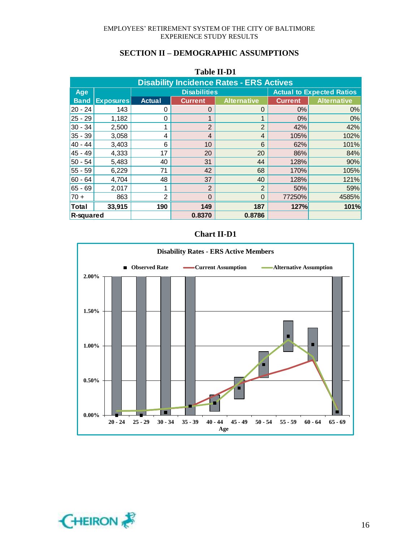|                                                 | TAVIL 11-D'I     |                |                     |                    |                |                                  |  |  |
|-------------------------------------------------|------------------|----------------|---------------------|--------------------|----------------|----------------------------------|--|--|
| <b>Disability Incidence Rates - ERS Actives</b> |                  |                |                     |                    |                |                                  |  |  |
| Age                                             |                  |                | <b>Disabilities</b> |                    |                | <b>Actual to Expected Ratios</b> |  |  |
| <b>Band</b>                                     | <b>Exposures</b> | <b>Actual</b>  | <b>Current</b>      | <b>Alternative</b> | <b>Current</b> | <b>Alternative</b>               |  |  |
| $ 20 - 24 $                                     | 143              | 0              | $\Omega$            | $\Omega$           | 0%             | 0%                               |  |  |
| $25 - 29$                                       | 1,182            | 0              |                     |                    | 0%             | 0%                               |  |  |
| $30 - 34$                                       | 2,500            | 1              | $\overline{2}$      | $\overline{2}$     | 42%            | 42%                              |  |  |
| $35 - 39$                                       | 3,058            | 4              | 4                   | 4                  | 105%           | 102%                             |  |  |
| $40 - 44$                                       | 3,403            | 6              | 10                  | 6                  | 62%            | 101%                             |  |  |
| $45 - 49$                                       | 4,333            | 17             | 20                  | 20                 | 86%            | 84%                              |  |  |
| 50 - 54                                         | 5,483            | 40             | 31                  | 44                 | 128%           | 90%                              |  |  |
| 55 - 59                                         | 6,229            | 71             | 42                  | 68                 | 170%           | 105%                             |  |  |
| $60 - 64$                                       | 4,704            | 48             | 37                  | 40                 | 128%           | 121%                             |  |  |
| $65 - 69$                                       | 2,017            | 1              | 2                   | $\overline{2}$     | 50%            | 59%                              |  |  |
| $70 +$                                          | 863              | $\overline{2}$ | $\Omega$            | $\Omega$           | 77250%         | 4585%                            |  |  |
| <b>Total</b>                                    | 33,915           | 190            | 149                 | 187                | 127%           | 101%                             |  |  |
| R-squared                                       |                  |                | 0.8370              | 0.8786             |                |                                  |  |  |

#### **Table II-D1**

### **Chart II-D1**



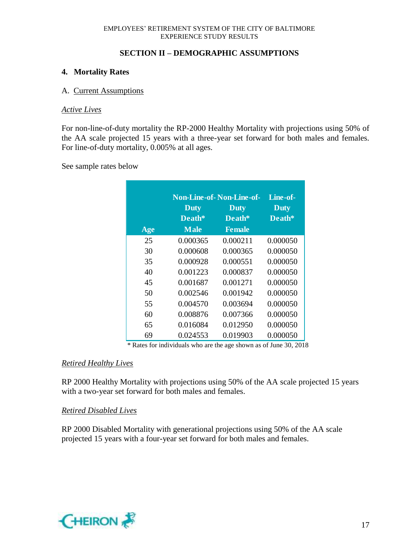#### **SECTION II – DEMOGRAPHIC ASSUMPTIONS**

#### **4. Mortality Rates**

#### A. Current Assumptions

#### *Active Lives*

For non-line-of-duty mortality the RP-2000 Healthy Mortality with projections using 50% of the AA scale projected 15 years with a three-year set forward for both males and females. For line-of-duty mortality, 0.005% at all ages.

See sample rates below

|     |             | <b>Non-Line-of-Non-Line-of-</b> | Line-of-    |
|-----|-------------|---------------------------------|-------------|
|     | <b>Duty</b> | <b>Duty</b>                     | <b>Duty</b> |
|     | Death*      | Death*                          | Death*      |
| Age | <b>Male</b> | <b>Female</b>                   |             |
| 25  | 0.000365    | 0.000211                        | 0.000050    |
| 30  | 0.000608    | 0.000365                        | 0.000050    |
| 35  | 0.000928    | 0.000551                        | 0.000050    |
| 40  | 0.001223    | 0.000837                        | 0.000050    |
| 45  | 0.001687    | 0.001271                        | 0.000050    |
| 50  | 0.002546    | 0.001942                        | 0.000050    |
| 55  | 0.004570    | 0.003694                        | 0.000050    |
| 60  | 0.008876    | 0.007366                        | 0.000050    |
| 65  | 0.016084    | 0.012950                        | 0.000050    |
| 69  | 0.024553    | 0.019903                        | 0.000050    |

\* Rates for individuals who are the age shown as of June 30, 2018

#### *Retired Healthy Lives*

RP 2000 Healthy Mortality with projections using 50% of the AA scale projected 15 years with a two-year set forward for both males and females.

#### *Retired Disabled Lives*

RP 2000 Disabled Mortality with generational projections using 50% of the AA scale projected 15 years with a four-year set forward for both males and females.

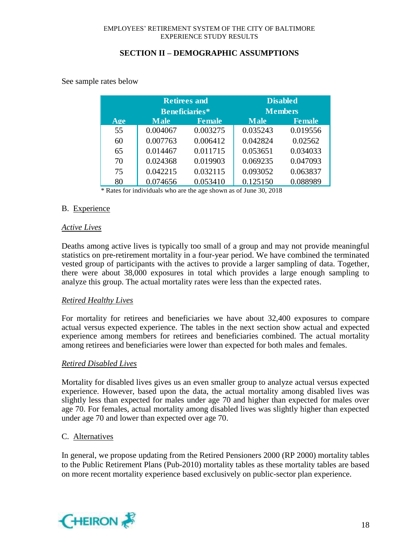See sample rates below

|     |             | <b>Retirees and</b> | <b>Disabled</b> |                |  |
|-----|-------------|---------------------|-----------------|----------------|--|
|     |             | Beneficiaries*      |                 | <b>Members</b> |  |
| Age | <b>Male</b> | <b>Female</b>       | <b>Male</b>     | <b>Female</b>  |  |
| 55  | 0.004067    | 0.003275            | 0.035243        | 0.019556       |  |
| 60  | 0.007763    | 0.006412            | 0.042824        | 0.02562        |  |
| 65  | 0.014467    | 0.011715            | 0.053651        | 0.034033       |  |
| 70  | 0.024368    | 0.019903            | 0.069235        | 0.047093       |  |
| 75  | 0.042215    | 0.032115            | 0.093052        | 0.063837       |  |
| 80  | 0.074656    | 0.053410            | 0.125150        | 0.088989       |  |

\* Rates for individuals who are the age shown as of June 30, 2018

### B. Experience

### *Active Lives*

Deaths among active lives is typically too small of a group and may not provide meaningful statistics on pre-retirement mortality in a four-year period. We have combined the terminated vested group of participants with the actives to provide a larger sampling of data. Together, there were about 38,000 exposures in total which provides a large enough sampling to analyze this group. The actual mortality rates were less than the expected rates.

### *Retired Healthy Lives*

For mortality for retirees and beneficiaries we have about 32,400 exposures to compare actual versus expected experience. The tables in the next section show actual and expected experience among members for retirees and beneficiaries combined. The actual mortality among retirees and beneficiaries were lower than expected for both males and females.

### *Retired Disabled Lives*

Mortality for disabled lives gives us an even smaller group to analyze actual versus expected experience. However, based upon the data, the actual mortality among disabled lives was slightly less than expected for males under age 70 and higher than expected for males over age 70. For females, actual mortality among disabled lives was slightly higher than expected under age 70 and lower than expected over age 70.

#### C. Alternatives

In general, we propose updating from the Retired Pensioners 2000 (RP 2000) mortality tables to the Public Retirement Plans (Pub-2010) mortality tables as these mortality tables are based on more recent mortality experience based exclusively on public-sector plan experience.

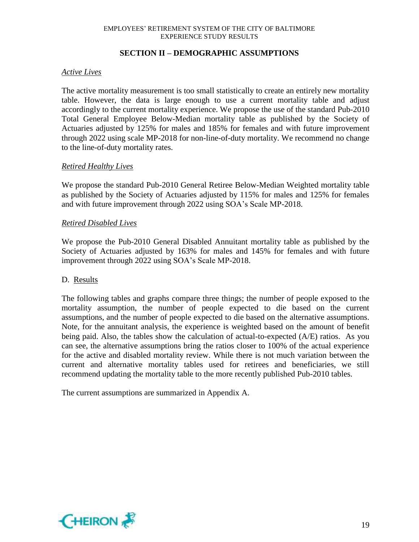#### **SECTION II – DEMOGRAPHIC ASSUMPTIONS**

#### *Active Lives*

The active mortality measurement is too small statistically to create an entirely new mortality table. However, the data is large enough to use a current mortality table and adjust accordingly to the current mortality experience. We propose the use of the standard Pub-2010 Total General Employee Below-Median mortality table as published by the Society of Actuaries adjusted by 125% for males and 185% for females and with future improvement through 2022 using scale MP-2018 for non-line-of-duty mortality. We recommend no change to the line-of-duty mortality rates.

#### *Retired Healthy Lives*

We propose the standard Pub-2010 General Retiree Below-Median Weighted mortality table as published by the Society of Actuaries adjusted by 115% for males and 125% for females and with future improvement through 2022 using SOA's Scale MP-2018.

#### *Retired Disabled Lives*

We propose the Pub-2010 General Disabled Annuitant mortality table as published by the Society of Actuaries adjusted by 163% for males and 145% for females and with future improvement through 2022 using SOA's Scale MP-2018.

#### D. Results

The following tables and graphs compare three things; the number of people exposed to the mortality assumption, the number of people expected to die based on the current assumptions, and the number of people expected to die based on the alternative assumptions. Note, for the annuitant analysis, the experience is weighted based on the amount of benefit being paid. Also, the tables show the calculation of actual-to-expected (A/E) ratios. As you can see, the alternative assumptions bring the ratios closer to 100% of the actual experience for the active and disabled mortality review. While there is not much variation between the current and alternative mortality tables used for retirees and beneficiaries, we still recommend updating the mortality table to the more recently published Pub-2010 tables.

The current assumptions are summarized in Appendix A.

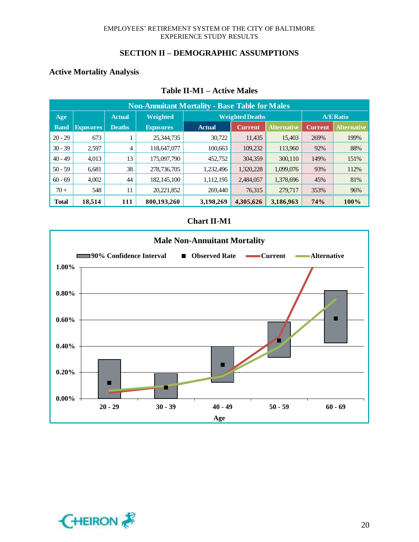#### **SECTION II – DEMOGRAPHIC ASSUMPTIONS**

#### **Active Mortality Analysis**

| <b>Non-Annuitant Mortality - Base Table for Males</b> |                  |                |                  |               |                        |                    |            |                    |  |  |
|-------------------------------------------------------|------------------|----------------|------------------|---------------|------------------------|--------------------|------------|--------------------|--|--|
| Age                                                   |                  | <b>Actual</b>  | <b>Weighted</b>  |               | <b>Weighted Deaths</b> |                    |            | <b>A/E Ratio</b>   |  |  |
| <b>Band</b>                                           | <b>Exposures</b> | <b>Deaths</b>  | <b>Exposures</b> | <b>Actual</b> | <b>Current</b>         | <b>Alternative</b> | Current    | <b>Alternative</b> |  |  |
| $20 - 29$                                             | 673              |                | 25,344,735       | 30,722        | 11,435                 | 15,403             | 269%       | 199%               |  |  |
| $30 - 39$                                             | 2.597            | $\overline{4}$ | 118,647,077      | 100,663       | 109,232                | 113,960            | 92%        | 88%                |  |  |
| $40 - 49$                                             | 4,013            | 13             | 175,097,790      | 452,752       | 304,359                | 300,110            | 149%       | 151%               |  |  |
| $50 - 59$                                             | 6,681            | 38             | 278,736,705      | 1,232,496     | 1,320,228              | 1,099,076          | 93%        | 112%               |  |  |
| $60 - 69$                                             | 4,002            | 44             | 182, 145, 100    | 1,112,195     | 2,484,057              | 1,378,696          | 45%        | 81%                |  |  |
| $70+$                                                 | 548              | 11             | 20,221,852       | 269,440       | 76,315                 | 279,717            | 353%       | 96%                |  |  |
| <b>Total</b>                                          | 18,514           | 111            | 800,193,260      | 3,198,269     | 4,305,626              | 3,186,963          | <b>74%</b> | 100%               |  |  |

#### **Table II-M1 – Active Males**



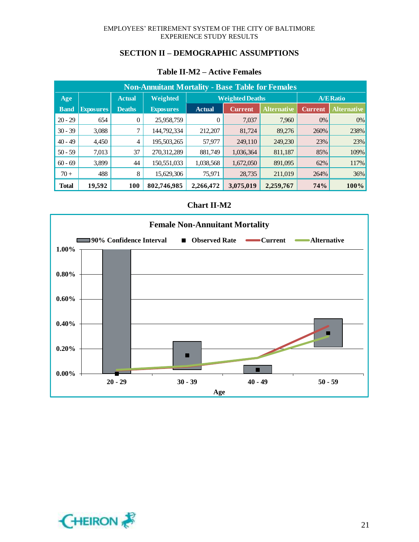#### **SECTION II – DEMOGRAPHIC ASSUMPTIONS**

| <b>Non-Annuitant Mortality - Base Table for Females</b> |                  |               |                  |               |                        |                    |                |                    |  |  |
|---------------------------------------------------------|------------------|---------------|------------------|---------------|------------------------|--------------------|----------------|--------------------|--|--|
| Age                                                     |                  | <b>Actual</b> | <b>Weighted</b>  |               | <b>Weighted Deaths</b> |                    |                | <b>A/E Ratio</b>   |  |  |
| <b>Band</b>                                             | <b>Exposures</b> | <b>Deaths</b> | <b>Exposures</b> | <b>Actual</b> | <b>Current</b>         | <b>Alternative</b> | <b>Current</b> | <b>Alternative</b> |  |  |
| $20 - 29$                                               | 654              | 0             | 25,958,759       | 0             | 7,037                  | 7,960              | $0\%$          | $0\%$              |  |  |
| $30 - 39$                                               | 3,088            |               | 144,792,334      | 212,207       | 81,724                 | 89,276             | 260%           | 238%               |  |  |
| $40 - 49$                                               | 4,450            | 4             | 195,503,265      | 57,977        | 249,110                | 249,230            | 23%            | 23%                |  |  |
| $50 - 59$                                               | 7,013            | 37            | 270,312,289      | 881,749       | 1,036,364              | 811,187            | 85%            | 109%               |  |  |
| $60 - 69$                                               | 3,899            | 44            | 150,551,033      | 1,038,568     | 1,672,050              | 891,095            | 62%            | 117%               |  |  |
| $70 +$                                                  | 488              | 8             | 15,629,306       | 75,971        | 28,735                 | 211,019            | 264%           | 36%                |  |  |
| <b>Total</b>                                            | 19,592           | <b>100</b>    | 802,746,985      | 2,266,472     | 3,075,019              | 2,259,767          | 74%            | 100%               |  |  |

### **Table II-M2 – Active Females**



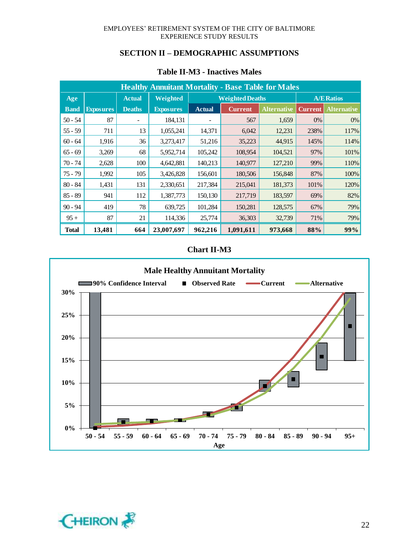| <b>Healthy Annuitant Mortality - Base Table for Males</b> |                  |               |                  |               |                        |                    |                |                    |  |
|-----------------------------------------------------------|------------------|---------------|------------------|---------------|------------------------|--------------------|----------------|--------------------|--|
| Age                                                       |                  | <b>Actual</b> | Weighted         |               | <b>Weighted Deaths</b> |                    |                | <b>A/E Ratios</b>  |  |
| <b>Band</b>                                               | <b>Exposures</b> | <b>Deaths</b> | <b>Exposures</b> | <b>Actual</b> | <b>Current</b>         | <b>Alternative</b> | <b>Current</b> | <b>Alternative</b> |  |
| $50 - 54$                                                 | 87               |               | 184,131          |               | 567                    | 1,659              | $0\%$          | 0%                 |  |
| $55 - 59$                                                 | 711              | 13            | 1,055,241        | 14,371        | 6,042                  | 12,231             | 238%           | 117%               |  |
| $60 - 64$                                                 | 1,916            | 36            | 3,273,417        | 51,216        | 35,223                 | 44,915             | 145%           | 114%               |  |
| $65 - 69$                                                 | 3,269            | 68            | 5,952,714        | 105,242       | 108,954                | 104,521            | 97%            | 101%               |  |
| $70 - 74$                                                 | 2,628            | 100           | 4,642,881        | 140,213       | 140,977                | 127,210            | 99%            | 110%               |  |
| $75 - 79$                                                 | 1,992            | 105           | 3,426,828        | 156,601       | 180,506                | 156,848            | 87%            | 100%               |  |
| $80 - 84$                                                 | 1,431            | 131           | 2,330,651        | 217,384       | 215,041                | 181,373            | 101%           | 120%               |  |
| $85 - 89$                                                 | 941              | 112           | 1,387,773        | 150,130       | 217,719                | 183,597            | 69%            | 82%                |  |
| $90 - 94$                                                 | 419              | 78            | 639,725          | 101,284       | 150,281                | 128,575            | 67%            | 79%                |  |
| $95 +$                                                    | 87               | 21            | 114,336          | 25,774        | 36,303                 | 32,739             | 71%            | 79%                |  |
| <b>Total</b>                                              | 13,481           | 664           | 23,007,697       | 962,216       | 1,091,611              | 973,668            | 88%            | 99%                |  |

### **Table II-M3 - Inactives Males**



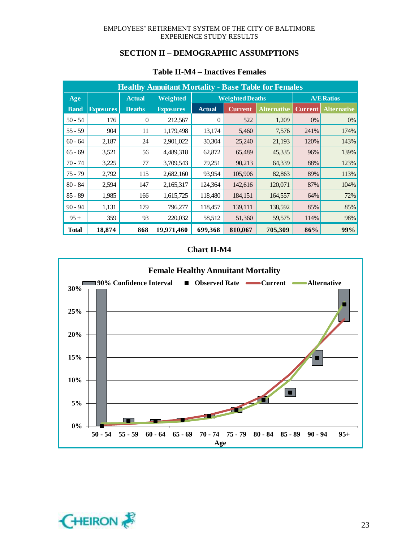| <b>Healthy Annuitant Mortality - Base Table for Females</b> |                  |               |                  |               |                        |                    |                |                    |  |
|-------------------------------------------------------------|------------------|---------------|------------------|---------------|------------------------|--------------------|----------------|--------------------|--|
| Age                                                         |                  | <b>Actual</b> | <b>Weighted</b>  |               | <b>Weighted Deaths</b> |                    |                | <b>A/E Ratios</b>  |  |
| <b>Band</b>                                                 | <b>Exposures</b> | <b>Deaths</b> | <b>Exposures</b> | <b>Actual</b> | <b>Current</b>         | <b>Alternative</b> | <b>Current</b> | <b>Alternative</b> |  |
| $50 - 54$                                                   | 176              | $\Omega$      | 212,567          | $\theta$      | 522                    | 1,209              | $0\%$          | 0%                 |  |
| $55 - 59$                                                   | 904              | 11            | 1,179,498        | 13,174        | 5,460                  | 7,576              | 241%           | 174%               |  |
| $60 - 64$                                                   | 2,187            | 24            | 2,901,022        | 30,304        | 25,240                 | 21,193             | 120%           | 143%               |  |
| $65 - 69$                                                   | 3,521            | 56            | 4,489,318        | 62,872        | 65,489                 | 45,335             | 96%            | 139%               |  |
| $70 - 74$                                                   | 3,225            | 77            | 3,709,543        | 79,251        | 90,213                 | 64,339             | 88%            | 123%               |  |
| 75 - 79                                                     | 2,792            | 115           | 2,682,160        | 93,954        | 105,906                | 82,863             | 89%            | 113%               |  |
| $80 - 84$                                                   | 2,594            | 147           | 2,165,317        | 124,364       | 142,616                | 120,071            | 87%            | 104%               |  |
| $85 - 89$                                                   | 1,985            | 166           | 1,615,725        | 118,480       | 184,151                | 164,557            | 64%            | 72%                |  |
| $90 - 94$                                                   | 1,131            | 179           | 796,277          | 118,457       | 139,111                | 138,592            | 85%            | 85%                |  |
| $95+$                                                       | 359              | 93            | 220,032          | 58,512        | 51,360                 | 59,575             | 114%           | 98%                |  |
| <b>Total</b>                                                | 18,874           | 868           | 19,971,460       | 699,368       | 810,067                | 705,309            | 86%            | 99%                |  |

### **Table II-M4 – Inactives Females**



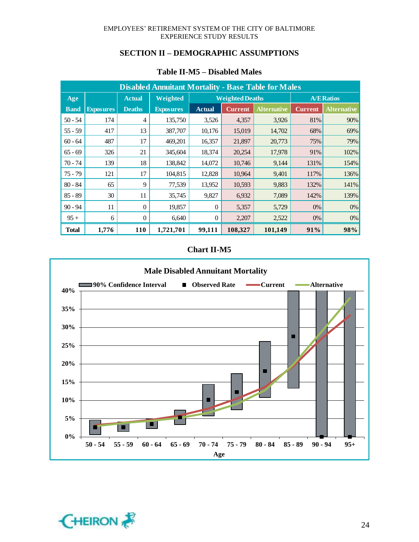| <b>Disabled Annuitant Mortality - Base Table for Males</b> |                  |                |                  |               |                        |                    |                |                    |  |
|------------------------------------------------------------|------------------|----------------|------------------|---------------|------------------------|--------------------|----------------|--------------------|--|
| Age                                                        |                  | <b>Actual</b>  | Weighted         |               | <b>Weighted Deaths</b> |                    |                | <b>A/E Ratios</b>  |  |
| <b>Band</b>                                                | <b>Exposures</b> | <b>Deaths</b>  | <b>Exposures</b> | <b>Actual</b> | <b>Current</b>         | <b>Alternative</b> | <b>Current</b> | <b>Alternative</b> |  |
| $50 - 54$                                                  | 174              | 4              | 135,750          | 3,526         | 4,357                  | 3,926              | 81%            | 90%                |  |
| $55 - 59$                                                  | 417              | 13             | 387,707          | 10,176        | 15,019                 | 14,702             | 68%            | 69%                |  |
| $60 - 64$                                                  | 487              | 17             | 469,201          | 16,357        | 21,897                 | 20,773             | 75%            | 79%                |  |
| $65 - 69$                                                  | 326              | 21             | 345,604          | 18,374        | 20,254                 | 17,978             | 91%            | 102%               |  |
| $70 - 74$                                                  | 139              | 18             | 138,842          | 14,072        | 10,746                 | 9,144              | 131%           | 154%               |  |
| $75 - 79$                                                  | 121              | 17             | 104,815          | 12,828        | 10,964                 | 9,401              | 117%           | 136%               |  |
| $80 - 84$                                                  | 65               | 9              | 77,539           | 13,952        | 10,593                 | 9,883              | 132%           | 141%               |  |
| $85 - 89$                                                  | 30               | 11             | 35,745           | 9,827         | 6,932                  | 7,089              | 142%           | 139%               |  |
| $90 - 94$                                                  | 11               | $\Omega$       | 19,857           | $\Omega$      | 5,357                  | 5,729              | 0%             | 0%                 |  |
| $95 +$                                                     | 6                | $\overline{0}$ | 6,640            | $\theta$      | 2,207                  | 2,522              | $0\%$          | $0\%$              |  |
| <b>Total</b>                                               | 1,776            | <b>110</b>     | 1,721,701        | 99,111        | 108,327                | 101,149            | 91%            | 98%                |  |

### **Table II-M5 – Disabled Males**



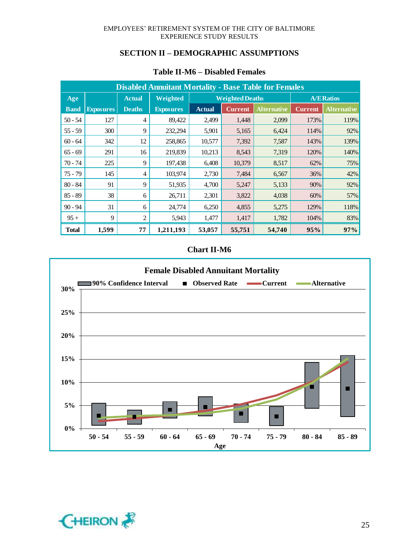| <b>Disabled Annuitant Mortality - Base Table for Females</b> |                  |                |                  |               |                        |                    |                |                    |  |
|--------------------------------------------------------------|------------------|----------------|------------------|---------------|------------------------|--------------------|----------------|--------------------|--|
| Age                                                          |                  | <b>Actual</b>  | Weighted         |               | <b>Weighted Deaths</b> |                    |                | <b>A/E Ratios</b>  |  |
| <b>Band</b>                                                  | <b>Exposures</b> | <b>Deaths</b>  | <b>Exposures</b> | <b>Actual</b> | <b>Current</b>         | <b>Alternative</b> | <b>Current</b> | <b>Alternative</b> |  |
| $50 - 54$                                                    | 127              | 4              | 89,422           | 2,499         | 1,448                  | 2,099              | 173%           | 119%               |  |
| $55 - 59$                                                    | 300              | 9              | 232,294          | 5,901         | 5,165                  | 6,424              | 114%           | 92%                |  |
| $60 - 64$                                                    | 342              | 12             | 258,865          | 10,577        | 7,392                  | 7,587              | 143%           | 139%               |  |
| $65 - 69$                                                    | 291              | 16             | 219,839          | 10,213        | 8,543                  | 7,319              | 120%           | 140%               |  |
| $70 - 74$                                                    | 225              | 9              | 197,438          | 6,408         | 10,379                 | 8,517              | 62%            | 75%                |  |
| $75 - 79$                                                    | 145              | 4              | 103,974          | 2,730         | 7,484                  | 6,567              | 36%            | 42%                |  |
| $80 - 84$                                                    | 91               | 9              | 51,935           | 4,700         | 5,247                  | 5,133              | 90%            | 92%                |  |
| $85 - 89$                                                    | 38               | 6              | 26,711           | 2,301         | 3,822                  | 4,038              | 60%            | 57%                |  |
| $90 - 94$                                                    | 31               | 6              | 24,774           | 6,250         | 4,855                  | 5,275              | 129%           | 118%               |  |
| $95 +$                                                       | 9                | $\overline{c}$ | 5,943            | 1,477         | 1,417                  | 1,782              | 104%           | 83%                |  |
| <b>Total</b>                                                 | 1,599            | 77             | 1,211,193        | 53,057        | 55,751                 | 54,740             | 95%            | 97%                |  |

### **Table II-M6 – Disabled Females**



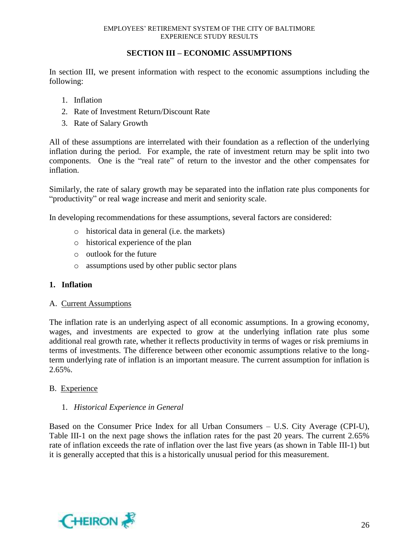### **SECTION III – ECONOMIC ASSUMPTIONS**

In section III, we present information with respect to the economic assumptions including the following:

- 1. Inflation
- 2. Rate of Investment Return/Discount Rate
- 3. Rate of Salary Growth

All of these assumptions are interrelated with their foundation as a reflection of the underlying inflation during the period. For example, the rate of investment return may be split into two components. One is the "real rate" of return to the investor and the other compensates for inflation.

Similarly, the rate of salary growth may be separated into the inflation rate plus components for "productivity" or real wage increase and merit and seniority scale.

In developing recommendations for these assumptions, several factors are considered:

- o historical data in general (i.e. the markets)
- o historical experience of the plan
- o outlook for the future
- o assumptions used by other public sector plans

#### **1. Inflation**

#### A. Current Assumptions

The inflation rate is an underlying aspect of all economic assumptions. In a growing economy, wages, and investments are expected to grow at the underlying inflation rate plus some additional real growth rate, whether it reflects productivity in terms of wages or risk premiums in terms of investments. The difference between other economic assumptions relative to the longterm underlying rate of inflation is an important measure. The current assumption for inflation is 2.65%.

#### B. Experience

#### 1. *Historical Experience in General*

Based on the Consumer Price Index for all Urban Consumers – U.S. City Average (CPI-U), Table III-1 on the next page shows the inflation rates for the past 20 years. The current 2.65% rate of inflation exceeds the rate of inflation over the last five years (as shown in Table III-1) but it is generally accepted that this is a historically unusual period for this measurement.

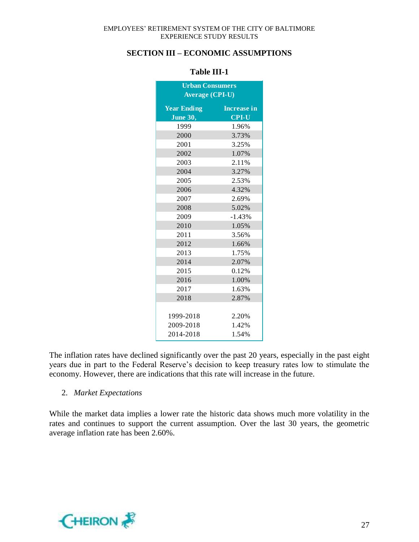### **SECTION III – ECONOMIC ASSUMPTIONS**

| <b>Urban Consumers</b> |                    |  |  |  |  |  |
|------------------------|--------------------|--|--|--|--|--|
| Average (CPI-U)        |                    |  |  |  |  |  |
| <b>Year Ending</b>     | <b>Increase in</b> |  |  |  |  |  |
| <b>June 30,</b>        | <b>CPI-U</b>       |  |  |  |  |  |
| 1999                   | 1.96%              |  |  |  |  |  |
| 2000                   | 3.73%              |  |  |  |  |  |
| 2001                   | 3.25%              |  |  |  |  |  |
| 2002                   | 1.07%              |  |  |  |  |  |
| 2003                   | 2.11%              |  |  |  |  |  |
| 2004                   | 3.27%              |  |  |  |  |  |
| 2005                   | 2.53%              |  |  |  |  |  |
| 2006                   | 4.32%              |  |  |  |  |  |
| 2007                   | 2.69%              |  |  |  |  |  |
| 2008                   | 5.02%              |  |  |  |  |  |
| 2009                   | $-1.43%$           |  |  |  |  |  |
| 2010                   | 1.05%              |  |  |  |  |  |
| 2011                   | 3.56%              |  |  |  |  |  |
| 2012                   | 1.66%              |  |  |  |  |  |
| 2013                   | 1.75%              |  |  |  |  |  |
| 2014                   | 2.07%              |  |  |  |  |  |
| 2015                   | 0.12%              |  |  |  |  |  |
| 2016                   | 1.00%              |  |  |  |  |  |
| 2017                   | 1.63%              |  |  |  |  |  |
| 2018                   | 2.87%              |  |  |  |  |  |
|                        |                    |  |  |  |  |  |
| 1999-2018              | 2.20%              |  |  |  |  |  |
| 2009-2018              | 1.42%              |  |  |  |  |  |
| 2014-2018              | 1.54%              |  |  |  |  |  |

#### **Table III-1**

The inflation rates have declined significantly over the past 20 years, especially in the past eight years due in part to the Federal Reserve's decision to keep treasury rates low to stimulate the economy. However, there are indications that this rate will increase in the future.

#### 2. *Market Expectations*

While the market data implies a lower rate the historic data shows much more volatility in the rates and continues to support the current assumption. Over the last 30 years, the geometric average inflation rate has been 2.60%.

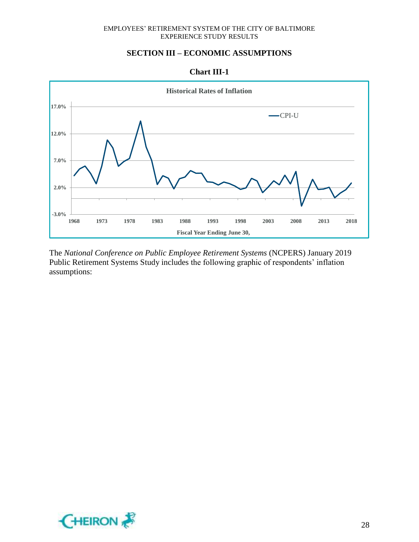### **SECTION III – ECONOMIC ASSUMPTIONS**





The *National Conference on Public Employee Retirement Systems* (NCPERS) January 2019 Public Retirement Systems Study includes the following graphic of respondents' inflation assumptions:

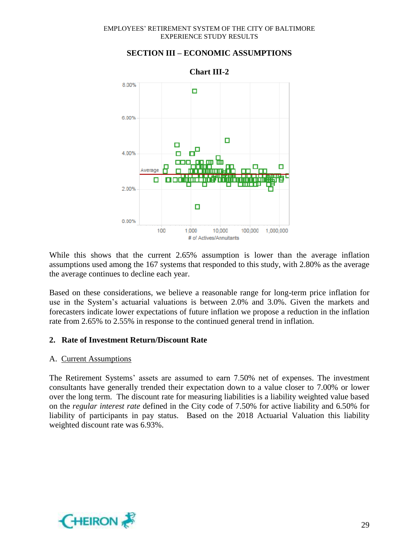

#### **SECTION III – ECONOMIC ASSUMPTIONS**

While this shows that the current 2.65% assumption is lower than the average inflation assumptions used among the 167 systems that responded to this study, with 2.80% as the average the average continues to decline each year.

Based on these considerations, we believe a reasonable range for long-term price inflation for use in the System's actuarial valuations is between 2.0% and 3.0%. Given the markets and forecasters indicate lower expectations of future inflation we propose a reduction in the inflation rate from 2.65% to 2.55% in response to the continued general trend in inflation.

#### **2. Rate of Investment Return/Discount Rate**

#### A. Current Assumptions

The Retirement Systems' assets are assumed to earn 7.50% net of expenses. The investment consultants have generally trended their expectation down to a value closer to 7.00% or lower over the long term. The discount rate for measuring liabilities is a liability weighted value based on the *regular interest rate* defined in the City code of 7.50% for active liability and 6.50% for liability of participants in pay status. Based on the 2018 Actuarial Valuation this liability weighted discount rate was 6.93%.

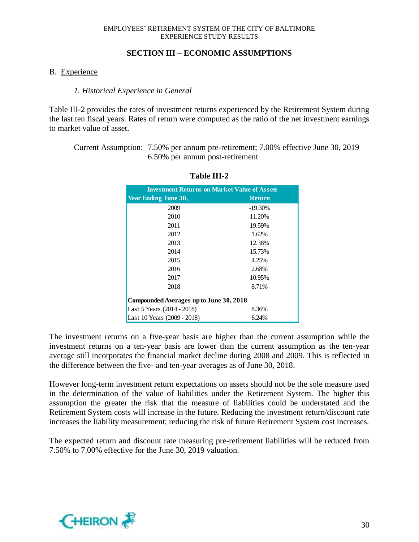#### **SECTION III – ECONOMIC ASSUMPTIONS**

#### B. Experience

#### *1. Historical Experience in General*

Table III-2 provides the rates of investment returns experienced by the Retirement System during the last ten fiscal years. Rates of return were computed as the ratio of the net investment earnings to market value of asset.

Current Assumption: 7.50% per annum pre-retirement; 7.00% effective June 30, 2019 6.50% per annum post-retirement

| <b>Investment Returns on Market Value of Assets</b> |               |  |  |  |
|-----------------------------------------------------|---------------|--|--|--|
| <b>Year Ending June 30,</b>                         | <b>Return</b> |  |  |  |
| 2009                                                | $-19.30%$     |  |  |  |
| 2010                                                | 11.20%        |  |  |  |
| 2011                                                | 19.59%        |  |  |  |
| 2012                                                | 1.62%         |  |  |  |
| 2013                                                | 12.38%        |  |  |  |
| 2014                                                | 15.73%        |  |  |  |
| 2015                                                | 4.25%         |  |  |  |
| 2016                                                | 2.68%         |  |  |  |
| 2017                                                | 10.95%        |  |  |  |
| 2018                                                | 8.71%         |  |  |  |
| Compounded Averages up to June 30, 2018             |               |  |  |  |
| Last 5 Years (2014 - 2018)                          | 8.36%         |  |  |  |
| Last 10 Years (2009 - 2018)                         | 6.24%         |  |  |  |

#### **Table III-2**

The investment returns on a five-year basis are higher than the current assumption while the investment returns on a ten-year basis are lower than the current assumption as the ten-year average still incorporates the financial market decline during 2008 and 2009. This is reflected in the difference between the five- and ten-year averages as of June 30, 2018.

However long-term investment return expectations on assets should not be the sole measure used in the determination of the value of liabilities under the Retirement System. The higher this assumption the greater the risk that the measure of liabilities could be understated and the Retirement System costs will increase in the future. Reducing the investment return/discount rate increases the liability measurement; reducing the risk of future Retirement System cost increases.

The expected return and discount rate measuring pre-retirement liabilities will be reduced from 7.50% to 7.00% effective for the June 30, 2019 valuation.

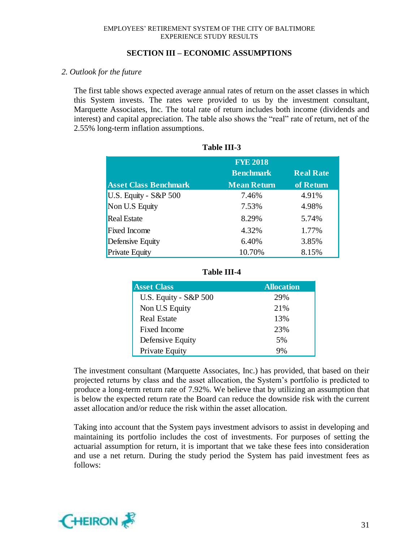#### **SECTION III – ECONOMIC ASSUMPTIONS**

#### *2. Outlook for the future*

The first table shows expected average annual rates of return on the asset classes in which this System invests. The rates were provided to us by the investment consultant, Marquette Associates, Inc. The total rate of return includes both income (dividends and interest) and capital appreciation. The table also shows the "real" rate of return, net of the 2.55% long-term inflation assumptions.

| <b>Asset Class Benchmark</b> | <b>FYE 2018</b><br><b>Benchmark</b><br><b>Mean Return</b> | <b>Real Rate</b><br>of Return |
|------------------------------|-----------------------------------------------------------|-------------------------------|
| U.S. Equity - S&P 500        | 7.46%                                                     | 4.91%                         |
| Non U.S Equity               | 7.53%                                                     | 4.98%                         |
| <b>Real Estate</b>           | 8.29%                                                     | 5.74%                         |
| <b>Fixed Income</b>          | 4.32%                                                     | 1.77%                         |
| Defensive Equity             | 6.40%                                                     | 3.85%                         |
| <b>Private Equity</b>        | 10.70%                                                    | 8.15%                         |

| Table III-3 |  |
|-------------|--|
|-------------|--|

| <b>Asset Class</b>    | <b>Allocation</b> |
|-----------------------|-------------------|
| U.S. Equity - S&P 500 | 29%               |
| Non U.S Equity        | 21%               |
| <b>Real Estate</b>    | 13%               |
| <b>Fixed Income</b>   | 23%               |
| Defensive Equity      | 5%                |
| Private Equity        | 9%                |

**Table III-4**

#### The investment consultant (Marquette Associates, Inc.) has provided, that based on their projected returns by class and the asset allocation, the System's portfolio is predicted to produce a long-term return rate of 7.92%. We believe that by utilizing an assumption that is below the expected return rate the Board can reduce the downside risk with the current asset allocation and/or reduce the risk within the asset allocation.

Taking into account that the System pays investment advisors to assist in developing and maintaining its portfolio includes the cost of investments. For purposes of setting the actuarial assumption for return, it is important that we take these fees into consideration and use a net return. During the study period the System has paid investment fees as follows:

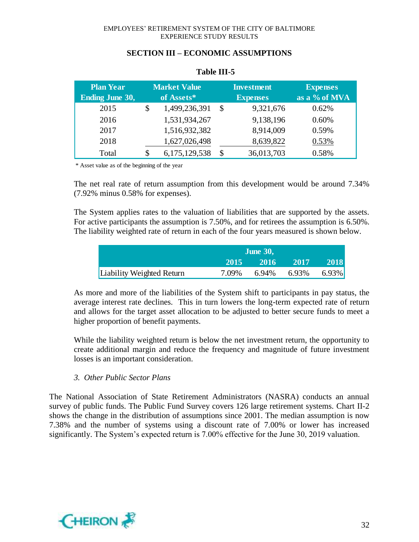|  |  | <b>SECTION III – ECONOMIC ASSUMPTIONS</b> |
|--|--|-------------------------------------------|
|--|--|-------------------------------------------|

| <b>Plan Year</b>       | <b>Market Value</b> |               | <b>Investment</b> | <b>Expenses</b> |
|------------------------|---------------------|---------------|-------------------|-----------------|
| <b>Ending June 30,</b> | of Assets*          |               | <b>Expenses</b>   | as a % of MVA   |
| 2015                   | \$                  | 1,499,236,391 | 9,321,676         | 0.62%           |
| 2016                   |                     | 1,531,934,267 | 9,138,196         | 0.60%           |
| 2017                   |                     | 1,516,932,382 | 8,914,009         | 0.59%           |
| 2018                   |                     | 1,627,026,498 | 8,639,822         | 0.53%           |
| Total                  |                     | 6,175,129,538 | 36,013,703        | 0.58%           |

### **Table III-5**

\* Asset value as of the beginning of the year

The net real rate of return assumption from this development would be around 7.34% (7.92% minus 0.58% for expenses).

The System applies rates to the valuation of liabilities that are supported by the assets. For active participants the assumption is 7.50%, and for retirees the assumption is 6.50%. The liability weighted rate of return in each of the four years measured is shown below.

|                           | <b>June 30,</b> |       |       |          |
|---------------------------|-----------------|-------|-------|----------|
|                           | 2015            | 2016  | 2017  | 2018     |
| Liability Weighted Return | 7.09%           | 6.94% | 6.93% | $6.93\%$ |

As more and more of the liabilities of the System shift to participants in pay status, the average interest rate declines. This in turn lowers the long-term expected rate of return and allows for the target asset allocation to be adjusted to better secure funds to meet a higher proportion of benefit payments.

While the liability weighted return is below the net investment return, the opportunity to create additional margin and reduce the frequency and magnitude of future investment losses is an important consideration.

#### *3. Other Public Sector Plans*

The National Association of State Retirement Administrators (NASRA) conducts an annual survey of public funds. The Public Fund Survey covers 126 large retirement systems. Chart II-2 shows the change in the distribution of assumptions since 2001. The median assumption is now 7.38% and the number of systems using a discount rate of 7.00% or lower has increased significantly. The System's expected return is 7.00% effective for the June 30, 2019 valuation.

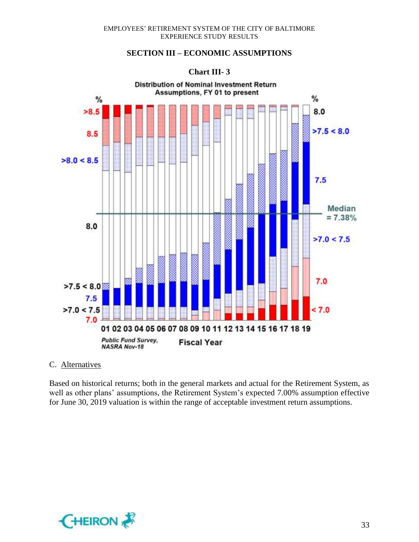### **SECTION III – ECONOMIC ASSUMPTIONS**

#### **Chart III- 3**



#### C. Alternatives

Based on historical returns; both in the general markets and actual for the Retirement System, as well as other plans' assumptions, the Retirement System's expected 7.00% assumption effective for June 30, 2019 valuation is within the range of acceptable investment return assumptions.

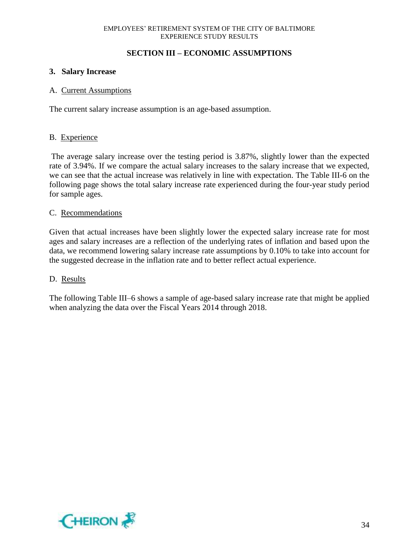### **SECTION III – ECONOMIC ASSUMPTIONS**

### **3. Salary Increase**

#### A. Current Assumptions

The current salary increase assumption is an age-based assumption.

#### B. Experience

The average salary increase over the testing period is 3.87%, slightly lower than the expected rate of 3.94%. If we compare the actual salary increases to the salary increase that we expected, we can see that the actual increase was relatively in line with expectation. The Table III-6 on the following page shows the total salary increase rate experienced during the four-year study period for sample ages.

#### C. Recommendations

Given that actual increases have been slightly lower the expected salary increase rate for most ages and salary increases are a reflection of the underlying rates of inflation and based upon the data, we recommend lowering salary increase rate assumptions by 0.10% to take into account for the suggested decrease in the inflation rate and to better reflect actual experience.

#### D. Results

The following Table III–6 shows a sample of age-based salary increase rate that might be applied when analyzing the data over the Fiscal Years 2014 through 2018.

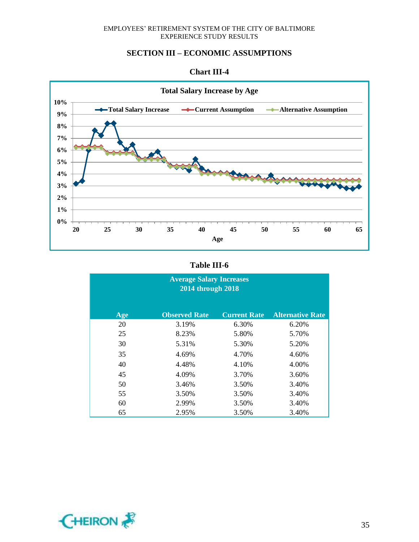#### **SECTION III – ECONOMIC ASSUMPTIONS**



#### **Chart III-4**

#### **Table III-6**

| <b>Average Salary Increases</b><br>2014 through 2018 |                      |                     |                         |  |  |
|------------------------------------------------------|----------------------|---------------------|-------------------------|--|--|
| Age                                                  | <b>Observed Rate</b> | <b>Current Rate</b> | <b>Alternative Rate</b> |  |  |
| 20                                                   | 3.19%                | 6.30%               | 6.20%                   |  |  |
| 25                                                   | 8.23%                | 5.80%               | 5.70%                   |  |  |
| 30                                                   | 5.31%                | 5.30%               | 5.20%                   |  |  |
| 35                                                   | 4.69%                | 4.70%               | 4.60%                   |  |  |
| 40                                                   | 4.48%                | 4.10%               | 4.00%                   |  |  |
| 45                                                   | 4.09%                | 3.70%               | 3.60%                   |  |  |
| 50                                                   | 3.46%                | 3.50%               | 3.40%                   |  |  |
| 55                                                   | 3.50%                | 3.50%               | 3.40%                   |  |  |
| 60                                                   | 2.99%                | 3.50%               | 3.40%                   |  |  |
| 65                                                   | 2.95%                | 3.50%               | 3.40%                   |  |  |

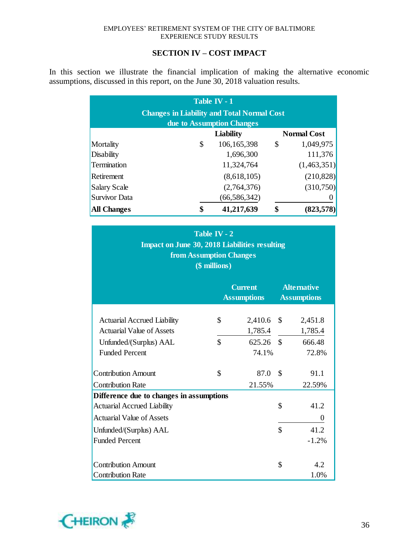### **SECTION IV – COST IMPACT**

In this section we illustrate the financial implication of making the alternative economic assumptions, discussed in this report, on the June 30, 2018 valuation results.

| Table IV - $1$<br><b>Changes in Liability and Total Normal Cost</b><br>due to Assumption Changes |    |                  |    |                    |  |
|--------------------------------------------------------------------------------------------------|----|------------------|----|--------------------|--|
|                                                                                                  |    | <b>Liability</b> |    | <b>Normal Cost</b> |  |
| Mortality                                                                                        | \$ | 106,165,398      | \$ | 1,049,975          |  |
| <b>Disability</b>                                                                                |    | 1,696,300        |    | 111,376            |  |
| Termination                                                                                      |    | 11,324,764       |    | (1,463,351)        |  |
| Retirement                                                                                       |    | (8,618,105)      |    | (210, 828)         |  |
| <b>Salary Scale</b>                                                                              |    | (2,764,376)      |    | (310,750)          |  |
| Survivor Data                                                                                    |    | (66, 586, 342)   |    |                    |  |
| <b>All Changes</b>                                                                               | \$ | 41,217,639       | \$ | (823,578)          |  |

| Table IV - 2<br><b>Impact on June 30, 2018 Liabilities resulting</b><br><b>from Assumption Changes</b><br>(\$ millions) |                    |                    |               |                    |  |
|-------------------------------------------------------------------------------------------------------------------------|--------------------|--------------------|---------------|--------------------|--|
| <b>Current</b><br><b>Alternative</b><br><b>Assumptions</b><br><b>Assumptions</b>                                        |                    |                    |               |                    |  |
| <b>Actuarial Accrued Liability</b><br><b>Actuarial Value of Assets</b>                                                  | \$                 | 2,410.6<br>1,785.4 | $\mathcal{S}$ | 2,451.8<br>1,785.4 |  |
| Unfunded/(Surplus) AAL<br><b>Funded Percent</b>                                                                         | $\mathbf{\hat{S}}$ | 625.26<br>74.1%    | $\mathcal{S}$ | 666.48<br>72.8%    |  |
| <b>Contribution Amount</b><br><b>Contribution Rate</b>                                                                  | \$                 | 87.0<br>21.55%     | \$            | 91.1<br>22.59%     |  |
| Difference due to changes in assumptions                                                                                |                    |                    |               |                    |  |
| <b>Actuarial Accrued Liability</b>                                                                                      |                    |                    | \$            | 41.2               |  |
| <b>Actuarial Value of Assets</b>                                                                                        |                    |                    |               | 0                  |  |
| Unfunded/(Surplus) AAL                                                                                                  |                    |                    |               | 41.2               |  |
| <b>Funded Percent</b><br>$-1.2%$                                                                                        |                    |                    |               |                    |  |
| <b>Contribution Amount</b><br><b>Contribution Rate</b>                                                                  |                    |                    | \$            | 4.2<br>1.0%        |  |

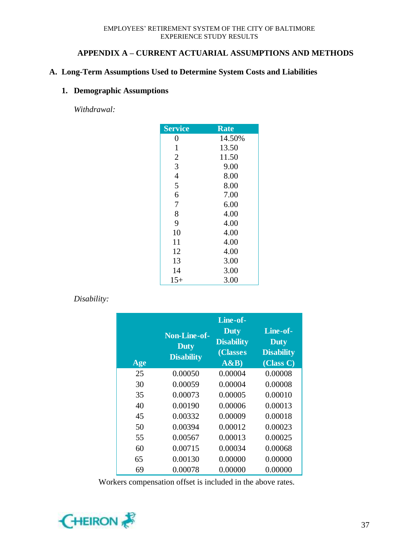### **APPENDIX A – CURRENT ACTUARIAL ASSUMPTIONS AND METHODS**

### **A. Long-Term Assumptions Used to Determine System Costs and Liabilities**

### **1. Demographic Assumptions**

*Withdrawal:*

| <b>Service</b> | Rate   |
|----------------|--------|
| 0              | 14.50% |
| $\mathbf{1}$   | 13.50  |
| $\overline{2}$ | 11.50  |
| 3              | 9.00   |
| $\overline{4}$ | 8.00   |
| 5              | 8.00   |
| 6              | 7.00   |
| 7              | 6.00   |
| 8              | 4.00   |
| 9              | 4.00   |
| 10             | 4.00   |
| 11             | 4.00   |
| 12             | 4.00   |
| 13             | 3.00   |
| 14             | 3.00   |
| 15+            | 3.00   |

### *Disability:*

| Age | <b>Non-Line-of-</b><br><b>Duty</b><br><b>Disability</b> | Line-of-<br><b>Duty</b><br><b>Disability</b><br>(Classes<br>A&B | Line-of-<br><b>Duty</b><br><b>Disability</b><br>(Class C) |
|-----|---------------------------------------------------------|-----------------------------------------------------------------|-----------------------------------------------------------|
| 25  | 0.00050                                                 | 0.00004                                                         | 0.00008                                                   |
| 30  | 0.00059                                                 | 0.00004                                                         | 0.00008                                                   |
| 35  | 0.00073                                                 | 0.00005                                                         | 0.00010                                                   |
| 40  | 0.00190                                                 | 0.00006                                                         | 0.00013                                                   |
| 45  | 0.00332                                                 | 0.00009                                                         | 0.00018                                                   |
| 50  | 0.00394                                                 | 0.00012                                                         | 0.00023                                                   |
| 55  | 0.00567                                                 | 0.00013                                                         | 0.00025                                                   |
| 60  | 0.00715                                                 | 0.00034                                                         | 0.00068                                                   |
| 65  | 0.00130                                                 | 0.00000                                                         | 0.00000                                                   |
| 69  | 0.00078                                                 | 0.00000                                                         | 0.00000                                                   |

Workers compensation offset is included in the above rates.

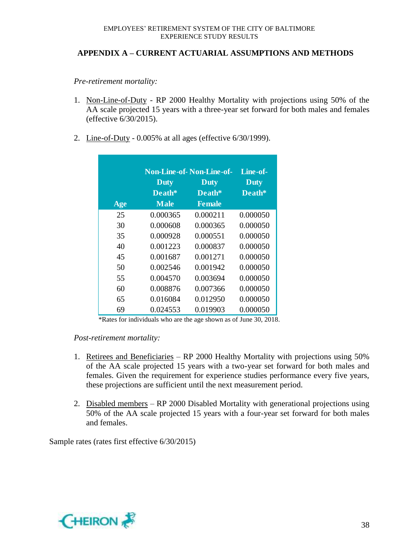### **APPENDIX A – CURRENT ACTUARIAL ASSUMPTIONS AND METHODS**

*Pre-retirement mortality:*

- 1. Non-Line-of-Duty RP 2000 Healthy Mortality with projections using 50% of the AA scale projected 15 years with a three-year set forward for both males and females (effective 6/30/2015).
- 2. Line-of-Duty 0.005% at all ages (effective 6/30/1999).

|     | <b>Non-Line-of-Non-Line-of-</b> | Line-of-      |             |
|-----|---------------------------------|---------------|-------------|
|     | <b>Duty</b>                     | <b>Duty</b>   | <b>Duty</b> |
|     | Death*                          | Death*        | Death*      |
| Age | <b>Male</b>                     | <b>Female</b> |             |
| 25  | 0.000365                        | 0.000211      | 0.000050    |
| 30  | 0.000608                        | 0.000365      | 0.000050    |
| 35  | 0.000928                        | 0.000551      | 0.000050    |
| 40  | 0.001223                        | 0.000837      | 0.000050    |
| 45  | 0.001687                        | 0.001271      | 0.000050    |
| 50  | 0.002546                        | 0.001942      | 0.000050    |
| 55  | 0.004570                        | 0.003694      | 0.000050    |
| 60  | 0.008876                        | 0.007366      | 0.000050    |
| 65  | 0.016084                        | 0.012950      | 0.000050    |
| 69  | 0.024553                        | 0.019903      | 0.000050    |

\*Rates for individuals who are the age shown as of June 30, 2018.

#### *Post-retirement mortality:*

- 1. Retirees and Beneficiaries RP 2000 Healthy Mortality with projections using 50% of the AA scale projected 15 years with a two-year set forward for both males and females. Given the requirement for experience studies performance every five years, these projections are sufficient until the next measurement period.
- 2. Disabled members RP 2000 Disabled Mortality with generational projections using 50% of the AA scale projected 15 years with a four-year set forward for both males and females.

Sample rates (rates first effective 6/30/2015)

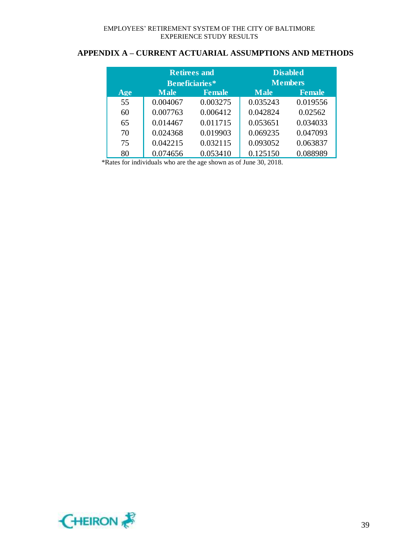### **APPENDIX A – CURRENT ACTUARIAL ASSUMPTIONS AND METHODS**

|     | <b>Retirees and</b>   |               | <b>Disabled</b> |                |
|-----|-----------------------|---------------|-----------------|----------------|
|     | <b>Beneficiaries*</b> |               |                 | <b>Members</b> |
| Age | <b>Male</b>           | <b>Female</b> | <b>Male</b>     | <b>Female</b>  |
| 55  | 0.004067              | 0.003275      | 0.035243        | 0.019556       |
| 60  | 0.007763              | 0.006412      | 0.042824        | 0.02562        |
| 65  | 0.014467              | 0.011715      | 0.053651        | 0.034033       |
| 70  | 0.024368              | 0.019903      | 0.069235        | 0.047093       |
| 75  | 0.042215              | 0.032115      | 0.093052        | 0.063837       |
| 80  | 0.074656              | 0.053410      | 0.125150        | 0.088989       |

\*Rates for individuals who are the age shown as of June 30, 2018.

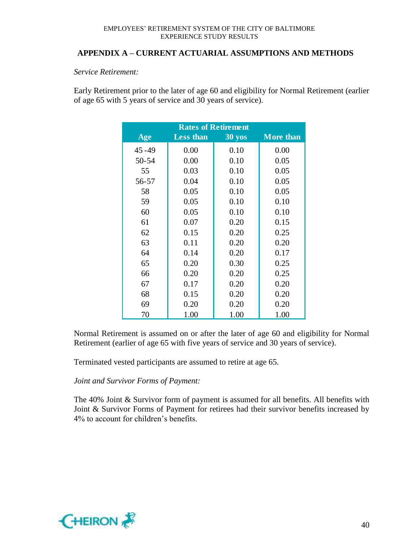#### **APPENDIX A – CURRENT ACTUARIAL ASSUMPTIONS AND METHODS**

#### *Service Retirement:*

Early Retirement prior to the later of age 60 and eligibility for Normal Retirement (earlier of age 65 with 5 years of service and 30 years of service).

| <b>Rates of Retirement</b> |                  |                  |                  |  |  |
|----------------------------|------------------|------------------|------------------|--|--|
| Age                        | <b>Less than</b> | $30 \text{ yos}$ | <b>More than</b> |  |  |
| $45 - 49$                  | 0.00             | 0.10             | 0.00             |  |  |
| 50-54                      | 0.00             | 0.10             | 0.05             |  |  |
| 55                         | 0.03             | 0.10             | 0.05             |  |  |
| 56-57                      | 0.04             | 0.10             | 0.05             |  |  |
| 58                         | 0.05             | 0.10             | 0.05             |  |  |
| 59                         | 0.05             | 0.10             | 0.10             |  |  |
| 60                         | 0.05             | 0.10             | 0.10             |  |  |
| 61                         | 0.07             | 0.20             | 0.15             |  |  |
| 62                         | 0.15             | 0.20             | 0.25             |  |  |
| 63                         | 0.11             | 0.20             | 0.20             |  |  |
| 64                         | 0.14             | 0.20             | 0.17             |  |  |
| 65                         | 0.20             | 0.30             | 0.25             |  |  |
| 66                         | 0.20             | 0.20             | 0.25             |  |  |
| 67                         | 0.17             | 0.20             | 0.20             |  |  |
| 68                         | 0.15             | 0.20             | 0.20             |  |  |
| 69                         | 0.20             | 0.20             | 0.20             |  |  |
| 70                         | 1.00             | 1.00             | 1.00             |  |  |

Normal Retirement is assumed on or after the later of age 60 and eligibility for Normal Retirement (earlier of age 65 with five years of service and 30 years of service).

Terminated vested participants are assumed to retire at age 65.

#### *Joint and Survivor Forms of Payment:*

The 40% Joint & Survivor form of payment is assumed for all benefits. All benefits with Joint & Survivor Forms of Payment for retirees had their survivor benefits increased by 4% to account for children's benefits.

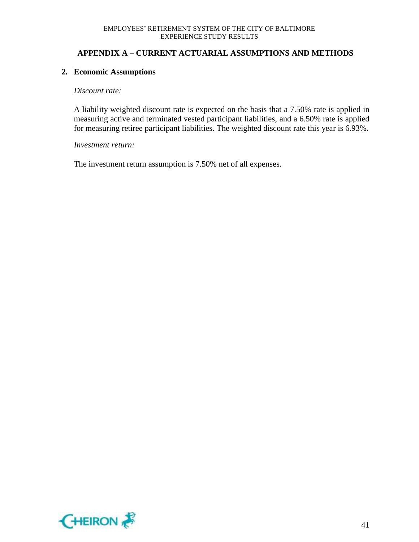### **APPENDIX A – CURRENT ACTUARIAL ASSUMPTIONS AND METHODS**

#### **2. Economic Assumptions**

#### *Discount rate:*

A liability weighted discount rate is expected on the basis that a 7.50% rate is applied in measuring active and terminated vested participant liabilities, and a 6.50% rate is applied for measuring retiree participant liabilities. The weighted discount rate this year is 6.93%.

#### *Investment return:*

The investment return assumption is 7.50% net of all expenses.

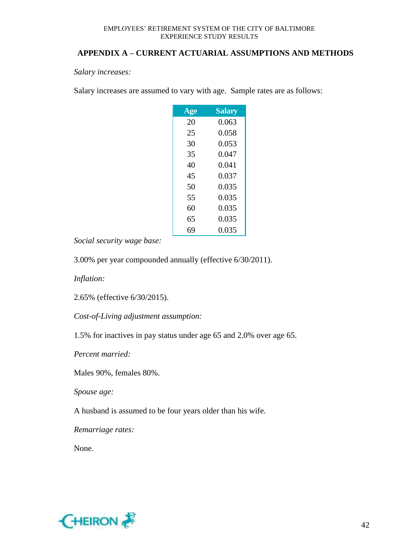### **APPENDIX A – CURRENT ACTUARIAL ASSUMPTIONS AND METHODS**

*Salary increases:*

Salary increases are assumed to vary with age. Sample rates are as follows:

| Age | <b>Salary</b> |
|-----|---------------|
| 20  | 0.063         |
| 25  | 0.058         |
| 30  | 0.053         |
| 35  | 0.047         |
| 40  | 0.041         |
| 45  | 0.037         |
| 50  | 0.035         |
| 55  | 0.035         |
| 60  | 0.035         |
| 65  | 0.035         |
| 69  | 0.035         |

*Social security wage base:*

3.00% per year compounded annually (effective 6/30/2011).

*Inflation:*

2.65% (effective 6/30/2015).

*Cost-of-Living adjustment assumption:*

1.5% for inactives in pay status under age 65 and 2.0% over age 65.

*Percent married:*

Males 90%, females 80%.

*Spouse age:*

A husband is assumed to be four years older than his wife.

*Remarriage rates:*

None.

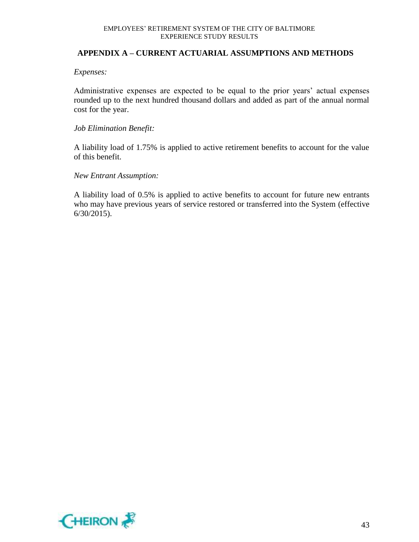#### **APPENDIX A – CURRENT ACTUARIAL ASSUMPTIONS AND METHODS**

#### *Expenses:*

Administrative expenses are expected to be equal to the prior years' actual expenses rounded up to the next hundred thousand dollars and added as part of the annual normal cost for the year.

#### *Job Elimination Benefit:*

A liability load of 1.75% is applied to active retirement benefits to account for the value of this benefit.

#### *New Entrant Assumption:*

A liability load of 0.5% is applied to active benefits to account for future new entrants who may have previous years of service restored or transferred into the System (effective 6/30/2015).

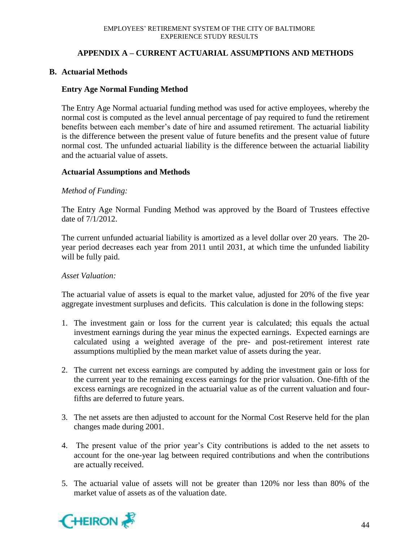### **APPENDIX A – CURRENT ACTUARIAL ASSUMPTIONS AND METHODS**

### **B. Actuarial Methods**

#### **Entry Age Normal Funding Method**

The Entry Age Normal actuarial funding method was used for active employees, whereby the normal cost is computed as the level annual percentage of pay required to fund the retirement benefits between each member's date of hire and assumed retirement. The actuarial liability is the difference between the present value of future benefits and the present value of future normal cost. The unfunded actuarial liability is the difference between the actuarial liability and the actuarial value of assets.

#### **Actuarial Assumptions and Methods**

#### *Method of Funding:*

The Entry Age Normal Funding Method was approved by the Board of Trustees effective date of 7/1/2012.

The current unfunded actuarial liability is amortized as a level dollar over 20 years. The 20 year period decreases each year from 2011 until 2031, at which time the unfunded liability will be fully paid.

#### *Asset Valuation:*

The actuarial value of assets is equal to the market value, adjusted for 20% of the five year aggregate investment surpluses and deficits. This calculation is done in the following steps:

- 1. The investment gain or loss for the current year is calculated; this equals the actual investment earnings during the year minus the expected earnings. Expected earnings are calculated using a weighted average of the pre- and post-retirement interest rate assumptions multiplied by the mean market value of assets during the year.
- 2. The current net excess earnings are computed by adding the investment gain or loss for the current year to the remaining excess earnings for the prior valuation. One-fifth of the excess earnings are recognized in the actuarial value as of the current valuation and fourfifths are deferred to future years.
- 3. The net assets are then adjusted to account for the Normal Cost Reserve held for the plan changes made during 2001.
- 4. The present value of the prior year's City contributions is added to the net assets to account for the one-year lag between required contributions and when the contributions are actually received.
- 5. The actuarial value of assets will not be greater than 120% nor less than 80% of the market value of assets as of the valuation date.

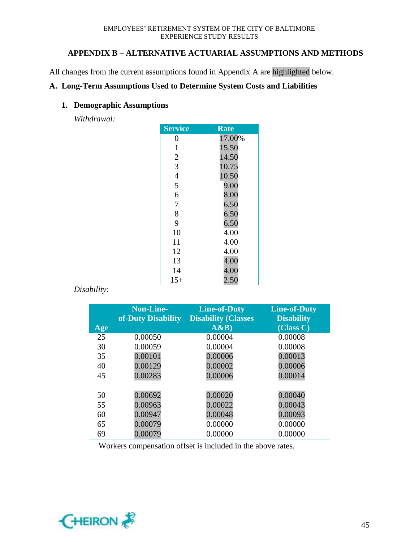### **APPENDIX B – ALTERNATIVE ACTUARIAL ASSUMPTIONS AND METHODS**

All changes from the current assumptions found in Appendix A are highlighted below.

#### **A. Long-Term Assumptions Used to Determine System Costs and Liabilities**

#### **1. Demographic Assumptions**

*Withdrawal:*

| <b>Service</b> | Rate   |
|----------------|--------|
| 0              | 17.00% |
| $\mathbf{1}$   | 15.50  |
| $\overline{c}$ | 14.50  |
| 3              | 10.75  |
| $\overline{4}$ | 10.50  |
| 5              | 9.00   |
| 6              | 8.00   |
| $\overline{7}$ | 6.50   |
| 8              | 6.50   |
| 9              | 6.50   |
| 10             | 4.00   |
| 11             | 4.00   |
| 12             | 4.00   |
| 13             | 4.00   |
| 14             | 4.00   |
| $15+$          | 2.50   |

### *Disability:*

|     | <b>Non-Line-</b><br>of-Duty Disability | <b>Line-of-Duty</b><br><b>Disability (Classes</b> | <b>Line-of-Duty</b><br><b>Disability</b> |
|-----|----------------------------------------|---------------------------------------------------|------------------------------------------|
| Age |                                        | A&B)                                              | (Class C)                                |
| 25  | 0.00050                                | 0.00004                                           | 0.00008                                  |
| 30  | 0.00059                                | 0.00004                                           | 0.00008                                  |
| 35  | 0.00101                                | 0.00006                                           | 0.00013                                  |
| 40  | 0.00129                                | 0.00002                                           | 0.00006                                  |
| 45  | 0.00283                                | 0.00006                                           | 0.00014                                  |
|     |                                        |                                                   |                                          |
| 50  | 0.00692                                | 0.00020                                           | 0.00040                                  |
| 55  | 0.00963                                | 0.00022                                           | 0.00043                                  |
| 60  | 0.00947                                | 0.00048                                           | 0.00093                                  |
| 65  | 0.00079                                | 0.00000                                           | 0.00000                                  |
| 69  | 0.00079                                | 0.00000                                           | 0.00000                                  |

Workers compensation offset is included in the above rates.

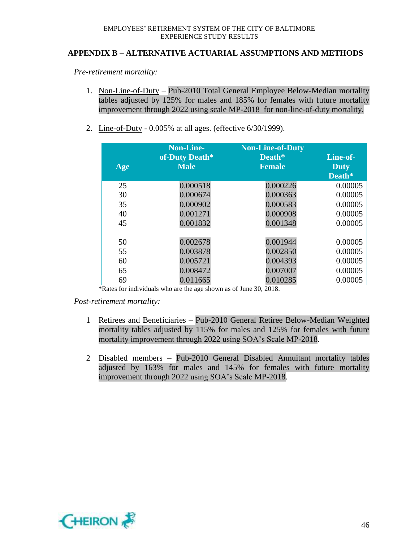#### **APPENDIX B – ALTERNATIVE ACTUARIAL ASSUMPTIONS AND METHODS**

*Pre-retirement mortality:*

- 1. Non-Line-of-Duty Pub-2010 Total General Employee Below-Median mortality tables adjusted by 125% for males and 185% for females with future mortality improvement through 2022 using scale MP-2018 for non-line-of-duty mortality.
- 2. Line-of-Duty 0.005% at all ages. (effective 6/30/1999).

| Age          | <b>Non-Line-</b><br>of-Duty Death*<br><b>Male</b> | <b>Non-Line-of-Duty</b><br>Death*<br><b>Female</b> | Line-of-<br><b>Duty</b><br>Death* |
|--------------|---------------------------------------------------|----------------------------------------------------|-----------------------------------|
| 25           | 0.000518                                          | 0.000226                                           | 0.00005                           |
| 30           | 0.000674                                          | 0.000363                                           | 0.00005                           |
| 35           | 0.000902                                          | 0.000583                                           | 0.00005                           |
| 40           | 0.001271                                          | 0.000908                                           | 0.00005                           |
| 45           | 0.001832                                          | 0.001348                                           | 0.00005                           |
|              |                                                   |                                                    |                                   |
| 50           | 0.002678                                          | 0.001944                                           | 0.00005                           |
| 55           | 0.003878                                          | 0.002850                                           | 0.00005                           |
| 60           | 0.005721                                          | 0.004393                                           | 0.00005                           |
| 65           | 0.008472                                          | 0.007007                                           | 0.00005                           |
| 69<br>$\sim$ | 0.011665                                          | 0.010285<br>$\sim$ $\sim$                          | 0.00005                           |

\*Rates for individuals who are the age shown as of June 30, 2018.

*Post-retirement mortality:*

- 1 Retirees and Beneficiaries Pub-2010 General Retiree Below-Median Weighted mortality tables adjusted by 115% for males and 125% for females with future mortality improvement through 2022 using SOA's Scale MP-2018.
- 2 Disabled members Pub-2010 General Disabled Annuitant mortality tables adjusted by 163% for males and 145% for females with future mortality improvement through 2022 using SOA's Scale MP-2018.

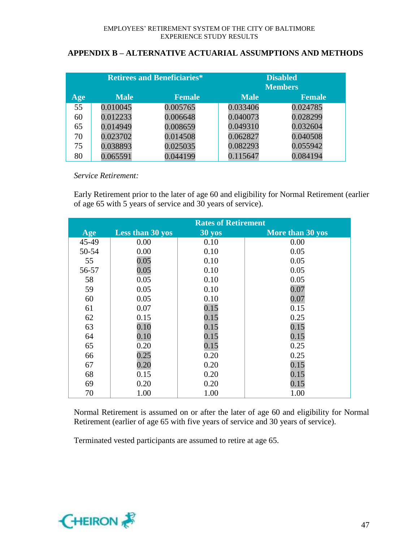### **APPENDIX B – ALTERNATIVE ACTUARIAL ASSUMPTIONS AND METHODS**

| <b>Retirees and Beneficiaries*</b> |             | <b>Disabled</b><br><b>Members</b> |             |               |
|------------------------------------|-------------|-----------------------------------|-------------|---------------|
| Age                                | <b>Male</b> | <b>Female</b>                     | <b>Male</b> | <b>Female</b> |
| 55                                 | 0.010045    | 0.005765                          | 0.033406    | 0.024785      |
| 60                                 | 0.012233    | 0.006648                          | 0.040073    | 0.028299      |
| 65                                 | 0.014949    | 0.008659                          | 0.049310    | 0.032604      |
| 70                                 | 0.023702    | 0.014508                          | 0.062827    | 0.040508      |
| 75                                 | 0.038893    | 0.025035                          | 0.082293    | 0.055942      |
| 80                                 | 0.065591    | 0.044199                          | 0.115647    | 0.084194      |

*Service Retirement:*

Early Retirement prior to the later of age 60 and eligibility for Normal Retirement (earlier of age 65 with 5 years of service and 30 years of service).

|       | <b>Rates of Retirement</b> |                  |                  |
|-------|----------------------------|------------------|------------------|
| Age   | <b>Less than 30 yos</b>    | $30 \text{ yos}$ | More than 30 yos |
| 45-49 | 0.00                       | 0.10             | 0.00             |
| 50-54 | 0.00                       | 0.10             | 0.05             |
| 55    | 0.05                       | 0.10             | 0.05             |
| 56-57 | 0.05                       | 0.10             | 0.05             |
| 58    | 0.05                       | 0.10             | 0.05             |
| 59    | 0.05                       | 0.10             | 0.07             |
| 60    | 0.05                       | 0.10             | 0.07             |
| 61    | 0.07                       | 0.15             | 0.15             |
| 62    | 0.15                       | 0.15             | 0.25             |
| 63    | 0.10                       | 0.15             | 0.15             |
| 64    | 0.10                       | 0.15             | 0.15             |
| 65    | 0.20                       | 0.15             | 0.25             |
| 66    | 0.25                       | 0.20             | 0.25             |
| 67    | 0.20                       | 0.20             | 0.15             |
| 68    | 0.15                       | 0.20             | 0.15             |
| 69    | 0.20                       | 0.20             | 0.15             |
| 70    | 1.00                       | 1.00             | 1.00             |

Normal Retirement is assumed on or after the later of age 60 and eligibility for Normal Retirement (earlier of age 65 with five years of service and 30 years of service).

Terminated vested participants are assumed to retire at age 65.

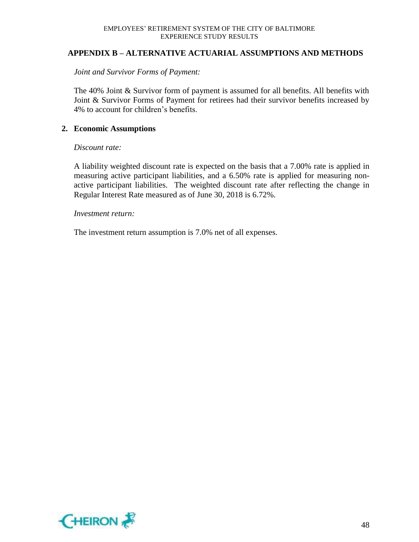#### **APPENDIX B – ALTERNATIVE ACTUARIAL ASSUMPTIONS AND METHODS**

*Joint and Survivor Forms of Payment:*

The 40% Joint & Survivor form of payment is assumed for all benefits. All benefits with Joint & Survivor Forms of Payment for retirees had their survivor benefits increased by 4% to account for children's benefits.

#### **2. Economic Assumptions**

#### *Discount rate:*

A liability weighted discount rate is expected on the basis that a 7.00% rate is applied in measuring active participant liabilities, and a 6.50% rate is applied for measuring nonactive participant liabilities. The weighted discount rate after reflecting the change in Regular Interest Rate measured as of June 30, 2018 is 6.72%.

#### *Investment return:*

The investment return assumption is 7.0% net of all expenses.

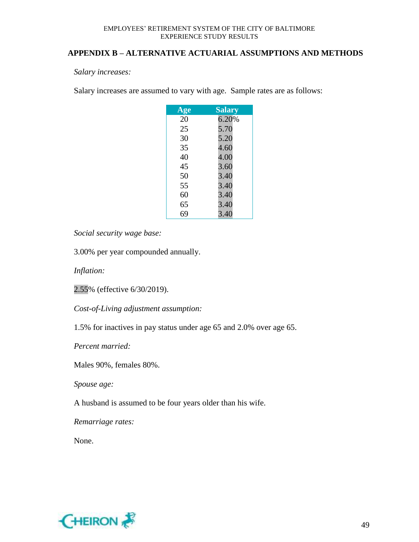#### **APPENDIX B – ALTERNATIVE ACTUARIAL ASSUMPTIONS AND METHODS**

*Salary increases:*

Salary increases are assumed to vary with age. Sample rates are as follows:

| Age | <b>Salary</b> |
|-----|---------------|
| 20  | 6.20%         |
| 25  | 5.70          |
| 30  | 5.20          |
| 35  | 4.60          |
| 40  | 4.00          |
| 45  | 3.60          |
| 50  | 3.40          |
| 55  | 3.40          |
| 60  | 3.40          |
| 65  | 3.40          |
| 69  | 3.40          |

*Social security wage base:*

3.00% per year compounded annually.

*Inflation:*

2.55% (effective 6/30/2019).

*Cost-of-Living adjustment assumption:*

1.5% for inactives in pay status under age 65 and 2.0% over age 65.

*Percent married:*

Males 90%, females 80%.

*Spouse age:*

A husband is assumed to be four years older than his wife.

*Remarriage rates:*

None.

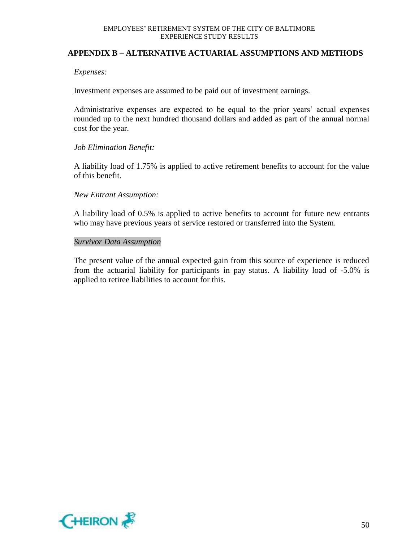#### **APPENDIX B – ALTERNATIVE ACTUARIAL ASSUMPTIONS AND METHODS**

#### *Expenses:*

Investment expenses are assumed to be paid out of investment earnings.

Administrative expenses are expected to be equal to the prior years' actual expenses rounded up to the next hundred thousand dollars and added as part of the annual normal cost for the year.

#### *Job Elimination Benefit:*

A liability load of 1.75% is applied to active retirement benefits to account for the value of this benefit.

#### *New Entrant Assumption:*

A liability load of 0.5% is applied to active benefits to account for future new entrants who may have previous years of service restored or transferred into the System.

#### *Survivor Data Assumption*

The present value of the annual expected gain from this source of experience is reduced from the actuarial liability for participants in pay status. A liability load of -5.0% is applied to retiree liabilities to account for this.

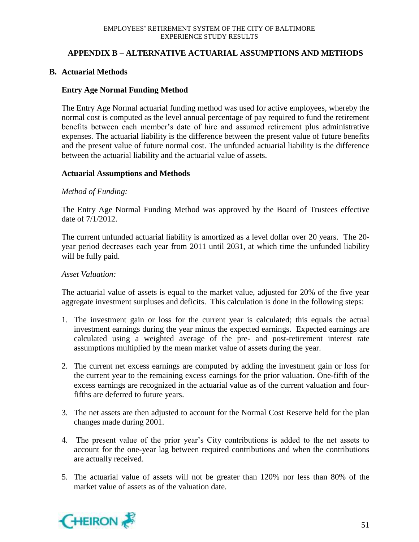### **APPENDIX B – ALTERNATIVE ACTUARIAL ASSUMPTIONS AND METHODS**

### **B. Actuarial Methods**

#### **Entry Age Normal Funding Method**

The Entry Age Normal actuarial funding method was used for active employees, whereby the normal cost is computed as the level annual percentage of pay required to fund the retirement benefits between each member's date of hire and assumed retirement plus administrative expenses. The actuarial liability is the difference between the present value of future benefits and the present value of future normal cost. The unfunded actuarial liability is the difference between the actuarial liability and the actuarial value of assets.

#### **Actuarial Assumptions and Methods**

#### *Method of Funding:*

The Entry Age Normal Funding Method was approved by the Board of Trustees effective date of 7/1/2012.

The current unfunded actuarial liability is amortized as a level dollar over 20 years. The 20 year period decreases each year from 2011 until 2031, at which time the unfunded liability will be fully paid.

#### *Asset Valuation:*

The actuarial value of assets is equal to the market value, adjusted for 20% of the five year aggregate investment surpluses and deficits. This calculation is done in the following steps:

- 1. The investment gain or loss for the current year is calculated; this equals the actual investment earnings during the year minus the expected earnings. Expected earnings are calculated using a weighted average of the pre- and post-retirement interest rate assumptions multiplied by the mean market value of assets during the year.
- 2. The current net excess earnings are computed by adding the investment gain or loss for the current year to the remaining excess earnings for the prior valuation. One-fifth of the excess earnings are recognized in the actuarial value as of the current valuation and fourfifths are deferred to future years.
- 3. The net assets are then adjusted to account for the Normal Cost Reserve held for the plan changes made during 2001.
- 4. The present value of the prior year's City contributions is added to the net assets to account for the one-year lag between required contributions and when the contributions are actually received.
- 5. The actuarial value of assets will not be greater than 120% nor less than 80% of the market value of assets as of the valuation date.

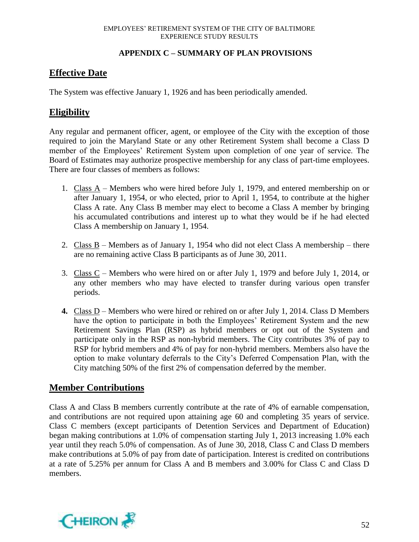### **APPENDIX C – SUMMARY OF PLAN PROVISIONS**

### **Effective Date**

The System was effective January 1, 1926 and has been periodically amended.

### **Eligibility**

Any regular and permanent officer, agent, or employee of the City with the exception of those required to join the Maryland State or any other Retirement System shall become a Class D member of the Employees' Retirement System upon completion of one year of service. The Board of Estimates may authorize prospective membership for any class of part-time employees. There are four classes of members as follows:

- 1. Class A Members who were hired before July 1, 1979, and entered membership on or after January 1, 1954, or who elected, prior to April 1, 1954, to contribute at the higher Class A rate. Any Class B member may elect to become a Class A member by bringing his accumulated contributions and interest up to what they would be if he had elected Class A membership on January 1, 1954.
- 2. Class B Members as of January 1, 1954 who did not elect Class A membership there are no remaining active Class B participants as of June 30, 2011.
- 3. Class C Members who were hired on or after July 1, 1979 and before July 1, 2014, or any other members who may have elected to transfer during various open transfer periods.
- **4.** Class D Members who were hired or rehired on or after July 1, 2014. Class D Members have the option to participate in both the Employees' Retirement System and the new Retirement Savings Plan (RSP) as hybrid members or opt out of the System and participate only in the RSP as non-hybrid members. The City contributes 3% of pay to RSP for hybrid members and 4% of pay for non-hybrid members. Members also have the option to make voluntary deferrals to the City's Deferred Compensation Plan, with the City matching 50% of the first 2% of compensation deferred by the member.

### **Member Contributions**

Class A and Class B members currently contribute at the rate of 4% of earnable compensation, and contributions are not required upon attaining age 60 and completing 35 years of service. Class C members (except participants of Detention Services and Department of Education) began making contributions at 1.0% of compensation starting July 1, 2013 increasing 1.0% each year until they reach 5.0% of compensation. As of June 30, 2018, Class C and Class D members make contributions at 5.0% of pay from date of participation. Interest is credited on contributions at a rate of 5.25% per annum for Class A and B members and 3.00% for Class C and Class D members.

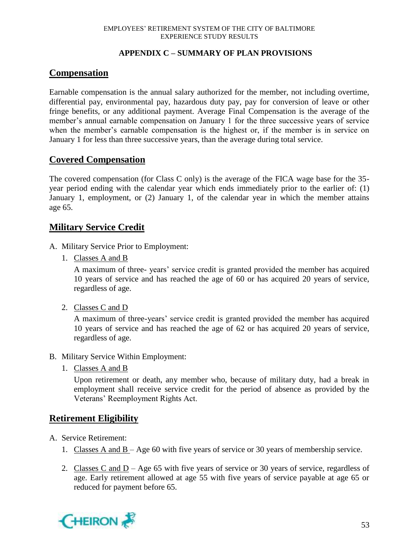### **APPENDIX C – SUMMARY OF PLAN PROVISIONS**

### **Compensation**

Earnable compensation is the annual salary authorized for the member, not including overtime, differential pay, environmental pay, hazardous duty pay, pay for conversion of leave or other fringe benefits, or any additional payment. Average Final Compensation is the average of the member's annual earnable compensation on January 1 for the three successive years of service when the member's earnable compensation is the highest or, if the member is in service on January 1 for less than three successive years, than the average during total service.

### **Covered Compensation**

The covered compensation (for Class C only) is the average of the FICA wage base for the 35 year period ending with the calendar year which ends immediately prior to the earlier of: (1) January 1, employment, or (2) January 1, of the calendar year in which the member attains age 65.

### **Military Service Credit**

- A. Military Service Prior to Employment:
	- 1. Classes A and B

A maximum of three- years' service credit is granted provided the member has acquired 10 years of service and has reached the age of 60 or has acquired 20 years of service, regardless of age.

2. Classes C and D

A maximum of three-years' service credit is granted provided the member has acquired 10 years of service and has reached the age of 62 or has acquired 20 years of service, regardless of age.

- B. Military Service Within Employment:
	- 1. Classes A and B

Upon retirement or death, any member who, because of military duty, had a break in employment shall receive service credit for the period of absence as provided by the Veterans' Reemployment Rights Act.

### **Retirement Eligibility**

- A. Service Retirement:
	- 1. Classes A and B Age 60 with five years of service or 30 years of membership service.
	- 2. Classes C and D Age 65 with five years of service or 30 years of service, regardless of age. Early retirement allowed at age 55 with five years of service payable at age 65 or reduced for payment before 65.

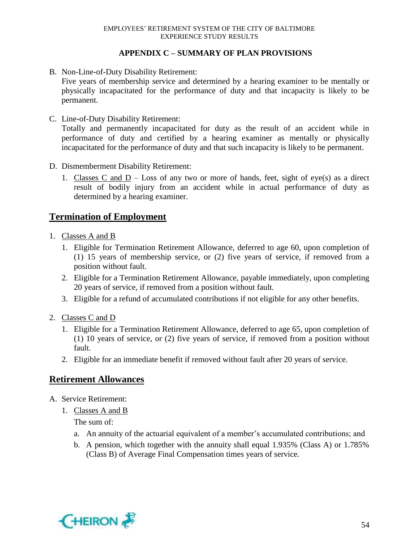### **APPENDIX C – SUMMARY OF PLAN PROVISIONS**

B. Non-Line-of-Duty Disability Retirement:

Five years of membership service and determined by a hearing examiner to be mentally or physically incapacitated for the performance of duty and that incapacity is likely to be permanent.

C. Line-of-Duty Disability Retirement:

Totally and permanently incapacitated for duty as the result of an accident while in performance of duty and certified by a hearing examiner as mentally or physically incapacitated for the performance of duty and that such incapacity is likely to be permanent.

- D. Dismemberment Disability Retirement:
	- 1. Classes C and  $D Loss$  of any two or more of hands, feet, sight of eye(s) as a direct result of bodily injury from an accident while in actual performance of duty as determined by a hearing examiner.

### **Termination of Employment**

- 1. Classes A and B
	- 1. Eligible for Termination Retirement Allowance, deferred to age 60, upon completion of (1) 15 years of membership service, or (2) five years of service, if removed from a position without fault.
	- 2. Eligible for a Termination Retirement Allowance, payable immediately, upon completing 20 years of service, if removed from a position without fault.
	- 3. Eligible for a refund of accumulated contributions if not eligible for any other benefits.
- 2. Classes C and D
	- 1. Eligible for a Termination Retirement Allowance, deferred to age 65, upon completion of (1) 10 years of service, or (2) five years of service, if removed from a position without fault.
	- 2. Eligible for an immediate benefit if removed without fault after 20 years of service.

### **Retirement Allowances**

- A. Service Retirement:
	- 1. Classes A and B

The sum of:

- a. An annuity of the actuarial equivalent of a member's accumulated contributions; and
- b. A pension, which together with the annuity shall equal 1.935% (Class A) or 1.785% (Class B) of Average Final Compensation times years of service.

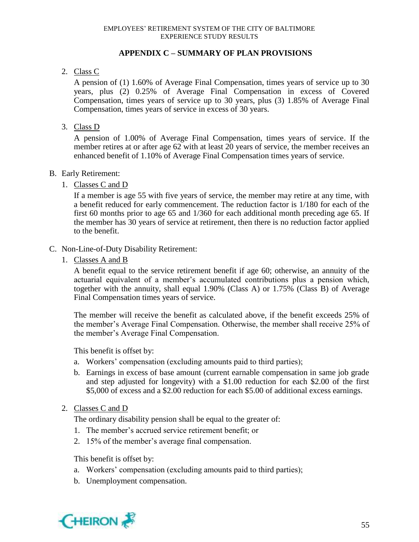### **APPENDIX C – SUMMARY OF PLAN PROVISIONS**

### 2. Class C

A pension of (1) 1.60% of Average Final Compensation, times years of service up to 30 years, plus (2) 0.25% of Average Final Compensation in excess of Covered Compensation, times years of service up to 30 years, plus (3) 1.85% of Average Final Compensation, times years of service in excess of 30 years.

3. Class D

A pension of 1.00% of Average Final Compensation, times years of service. If the member retires at or after age 62 with at least 20 years of service, the member receives an enhanced benefit of 1.10% of Average Final Compensation times years of service.

### B. Early Retirement:

1. Classes C and D

If a member is age 55 with five years of service, the member may retire at any time, with a benefit reduced for early commencement. The reduction factor is 1/180 for each of the first 60 months prior to age 65 and 1/360 for each additional month preceding age 65. If the member has 30 years of service at retirement, then there is no reduction factor applied to the benefit.

### C. Non-Line-of-Duty Disability Retirement:

1. Classes A and B

A benefit equal to the service retirement benefit if age 60; otherwise, an annuity of the actuarial equivalent of a member's accumulated contributions plus a pension which, together with the annuity, shall equal 1.90% (Class A) or 1.75% (Class B) of Average Final Compensation times years of service.

The member will receive the benefit as calculated above, if the benefit exceeds 25% of the member's Average Final Compensation. Otherwise, the member shall receive 25% of the member's Average Final Compensation.

This benefit is offset by:

- a. Workers' compensation (excluding amounts paid to third parties);
- b. Earnings in excess of base amount (current earnable compensation in same job grade and step adjusted for longevity) with a \$1.00 reduction for each \$2.00 of the first \$5,000 of excess and a \$2.00 reduction for each \$5.00 of additional excess earnings.
- 2. Classes C and D

The ordinary disability pension shall be equal to the greater of:

- 1. The member's accrued service retirement benefit; or
- 2. 15% of the member's average final compensation.

This benefit is offset by:

- a. Workers' compensation (excluding amounts paid to third parties);
- b. Unemployment compensation.

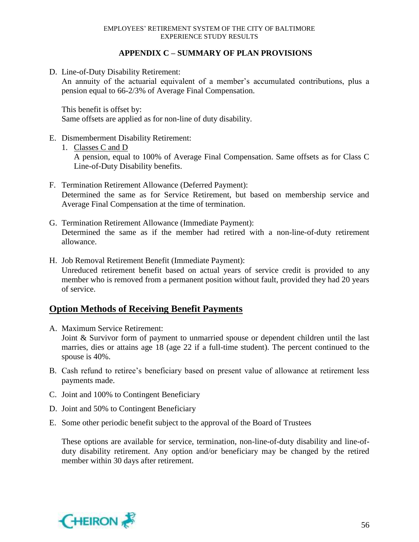#### **APPENDIX C – SUMMARY OF PLAN PROVISIONS**

D. Line-of-Duty Disability Retirement:

An annuity of the actuarial equivalent of a member's accumulated contributions, plus a pension equal to 66-2/3% of Average Final Compensation.

This benefit is offset by: Same offsets are applied as for non-line of duty disability.

- E. Dismemberment Disability Retirement:
	- 1. Classes C and D

A pension, equal to 100% of Average Final Compensation. Same offsets as for Class C Line-of-Duty Disability benefits.

- F. Termination Retirement Allowance (Deferred Payment): Determined the same as for Service Retirement, but based on membership service and Average Final Compensation at the time of termination.
- G. Termination Retirement Allowance (Immediate Payment): Determined the same as if the member had retired with a non-line-of-duty retirement allowance.
- H. Job Removal Retirement Benefit (Immediate Payment): Unreduced retirement benefit based on actual years of service credit is provided to any member who is removed from a permanent position without fault, provided they had 20 years of service.

### **Option Methods of Receiving Benefit Payments**

- A. Maximum Service Retirement: Joint & Survivor form of payment to unmarried spouse or dependent children until the last marries, dies or attains age 18 (age 22 if a full-time student). The percent continued to the spouse is 40%.
- B. Cash refund to retiree's beneficiary based on present value of allowance at retirement less payments made.
- C. Joint and 100% to Contingent Beneficiary
- D. Joint and 50% to Contingent Beneficiary
- E. Some other periodic benefit subject to the approval of the Board of Trustees

These options are available for service, termination, non-line-of-duty disability and line-ofduty disability retirement. Any option and/or beneficiary may be changed by the retired member within 30 days after retirement.

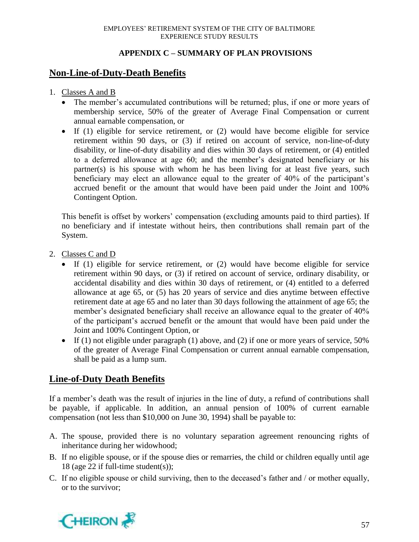### **APPENDIX C – SUMMARY OF PLAN PROVISIONS**

### **Non-Line-of-Duty-Death Benefits**

- 1. Classes A and B
	- The member's accumulated contributions will be returned; plus, if one or more years of membership service, 50% of the greater of Average Final Compensation or current annual earnable compensation, or
	- If (1) eligible for service retirement, or (2) would have become eligible for service retirement within 90 days, or (3) if retired on account of service, non-line-of-duty disability, or line-of-duty disability and dies within 30 days of retirement, or (4) entitled to a deferred allowance at age 60; and the member's designated beneficiary or his partner(s) is his spouse with whom he has been living for at least five years, such beneficiary may elect an allowance equal to the greater of 40% of the participant's accrued benefit or the amount that would have been paid under the Joint and 100% Contingent Option.

This benefit is offset by workers' compensation (excluding amounts paid to third parties). If no beneficiary and if intestate without heirs, then contributions shall remain part of the System.

- 2. Classes C and D
	- If (1) eligible for service retirement, or (2) would have become eligible for service retirement within 90 days, or (3) if retired on account of service, ordinary disability, or accidental disability and dies within 30 days of retirement, or (4) entitled to a deferred allowance at age 65, or (5) has 20 years of service and dies anytime between effective retirement date at age 65 and no later than 30 days following the attainment of age 65; the member's designated beneficiary shall receive an allowance equal to the greater of 40% of the participant's accrued benefit or the amount that would have been paid under the Joint and 100% Contingent Option, or
	- If (1) not eligible under paragraph (1) above, and (2) if one or more years of service,  $50\%$ of the greater of Average Final Compensation or current annual earnable compensation, shall be paid as a lump sum.

## **Line-of-Duty Death Benefits**

If a member's death was the result of injuries in the line of duty, a refund of contributions shall be payable, if applicable. In addition, an annual pension of 100% of current earnable compensation (not less than \$10,000 on June 30, 1994) shall be payable to:

- A. The spouse, provided there is no voluntary separation agreement renouncing rights of inheritance during her widowhood;
- B. If no eligible spouse, or if the spouse dies or remarries, the child or children equally until age 18 (age 22 if full-time student(s));
- C. If no eligible spouse or child surviving, then to the deceased's father and / or mother equally, or to the survivor;